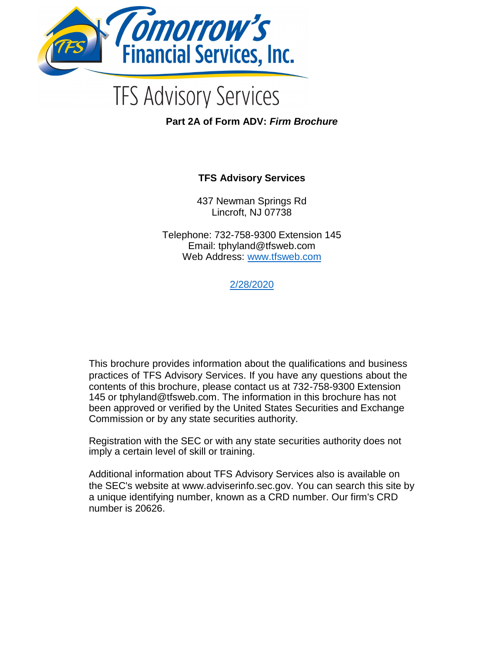

# **TFS Advisory Services**

**Part 2A of Form ADV:** *Firm Brochure*

### **TFS Advisory Services**

437 Newman Springs Rd Lincroft, NJ 07738

Telephone: 732-758-9300 Extension 145 Email: tphyland@tfsweb.com Web Address: www.tfsweb.com

2/28/2020

This brochure provides information about the qualifications and business practices of TFS Advisory Services. If you have any questions about the contents of this brochure, please contact us at 732-758-9300 Extension 145 or tphyland@tfsweb.com. The information in this brochure has not been approved or verified by the United States Securities and Exchange Commission or by any state securities authority.

Registration with the SEC or with any state securities authority does not imply a certain level of skill or training.

Additional information about TFS Advisory Services also is available on the SEC's website at www.adviserinfo.sec.gov. You can search this site by a unique identifying number, known as a CRD number. Our firm's CRD number is 20626.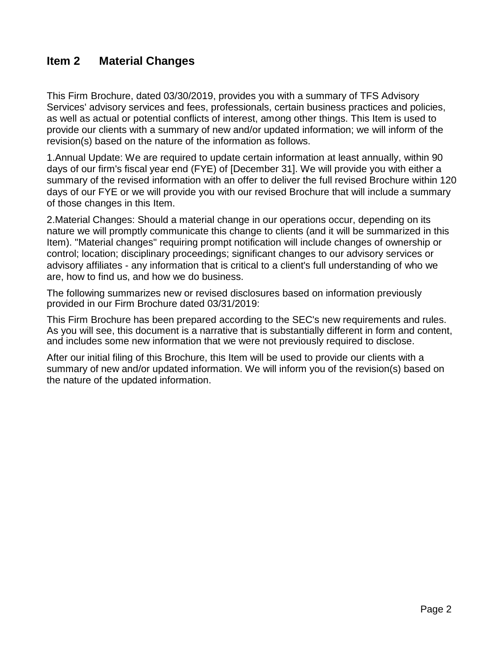# **Item 2 Material Changes**

This Firm Brochure, dated 03/30/2019, provides you with a summary of TFS Advisory Services' advisory services and fees, professionals, certain business practices and policies, as well as actual or potential conflicts of interest, among other things. This Item is used to provide our clients with a summary of new and/or updated information; we will inform of the revision(s) based on the nature of the information as follows.

1.Annual Update: We are required to update certain information at least annually, within 90 days of our firm's fiscal year end (FYE) of [December 31]. We will provide you with either a summary of the revised information with an offer to deliver the full revised Brochure within 120 days of our FYE or we will provide you with our revised Brochure that will include a summary of those changes in this Item.

2.Material Changes: Should a material change in our operations occur, depending on its nature we will promptly communicate this change to clients (and it will be summarized in this Item). "Material changes" requiring prompt notification will include changes of ownership or control; location; disciplinary proceedings; significant changes to our advisory services or advisory affiliates - any information that is critical to a client's full understanding of who we are, how to find us, and how we do business.

The following summarizes new or revised disclosures based on information previously provided in our Firm Brochure dated 03/31/2019:

This Firm Brochure has been prepared according to the SEC's new requirements and rules. As you will see, this document is a narrative that is substantially different in form and content, and includes some new information that we were not previously required to disclose.

After our initial filing of this Brochure, this Item will be used to provide our clients with a summary of new and/or updated information. We will inform you of the revision(s) based on the nature of the updated information.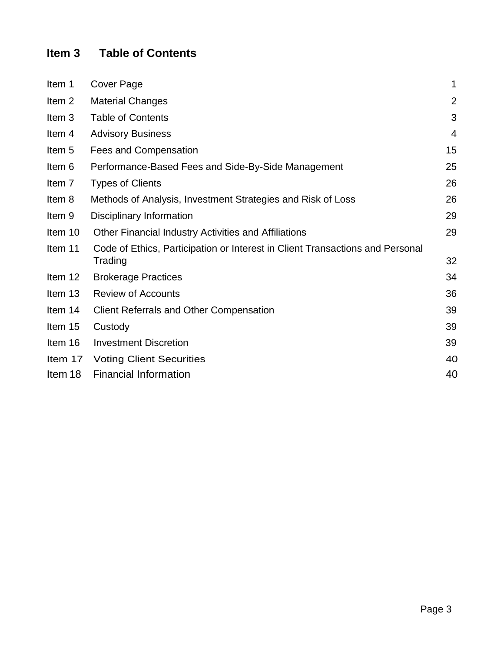# **Item 3 Table of Contents**

| Item 1            | Cover Page                                                                               | 1              |
|-------------------|------------------------------------------------------------------------------------------|----------------|
| Item <sub>2</sub> | <b>Material Changes</b>                                                                  | $\overline{2}$ |
| Item 3            | <b>Table of Contents</b>                                                                 | 3              |
| Item 4            | <b>Advisory Business</b>                                                                 | $\overline{4}$ |
| Item 5            | <b>Fees and Compensation</b>                                                             | 15             |
| Item 6            | Performance-Based Fees and Side-By-Side Management                                       | 25             |
| Item 7            | <b>Types of Clients</b>                                                                  | 26             |
| Item 8            | Methods of Analysis, Investment Strategies and Risk of Loss                              | 26             |
| Item 9            | Disciplinary Information                                                                 | 29             |
| Item 10           | <b>Other Financial Industry Activities and Affiliations</b>                              | 29             |
| Item 11           | Code of Ethics, Participation or Interest in Client Transactions and Personal<br>Trading | 32             |
| Item 12           | <b>Brokerage Practices</b>                                                               | 34             |
| Item 13           | <b>Review of Accounts</b>                                                                | 36             |
| Item 14           | <b>Client Referrals and Other Compensation</b>                                           | 39             |
| Item 15           | Custody                                                                                  | 39             |
| Item 16           | <b>Investment Discretion</b>                                                             | 39             |
| Item 17           | <b>Voting Client Securities</b>                                                          | 40             |
| Item 18           | <b>Financial Information</b>                                                             | 40             |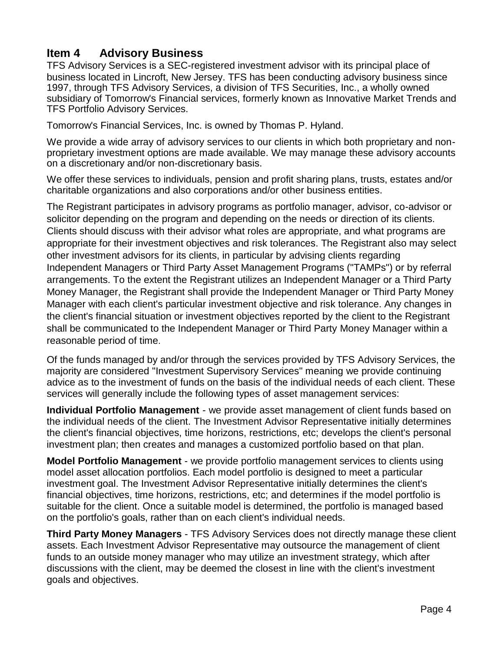# **Item 4 Advisory Business**

TFS Advisory Services is a SEC-registered investment advisor with its principal place of business located in Lincroft, New Jersey. TFS has been conducting advisory business since 1997, through TFS Advisory Services, a division of TFS Securities, Inc., a wholly owned subsidiary of Tomorrow's Financial services, formerly known as Innovative Market Trends and TFS Portfolio Advisory Services.

Tomorrow's Financial Services, Inc. is owned by Thomas P. Hyland.

We provide a wide array of advisory services to our clients in which both proprietary and nonproprietary investment options are made available. We may manage these advisory accounts on a discretionary and/or non-discretionary basis.

We offer these services to individuals, pension and profit sharing plans, trusts, estates and/or charitable organizations and also corporations and/or other business entities.

The Registrant participates in advisory programs as portfolio manager, advisor, co-advisor or solicitor depending on the program and depending on the needs or direction of its clients. Clients should discuss with their advisor what roles are appropriate, and what programs are appropriate for their investment objectives and risk tolerances. The Registrant also may select other investment advisors for its clients, in particular by advising clients regarding Independent Managers or Third Party Asset Management Programs ("TAMPs") or by referral arrangements. To the extent the Registrant utilizes an Independent Manager or a Third Party Money Manager, the Registrant shall provide the Independent Manager or Third Party Money Manager with each client's particular investment objective and risk tolerance. Any changes in the client's financial situation or investment objectives reported by the client to the Registrant shall be communicated to the Independent Manager or Third Party Money Manager within a reasonable period of time.

Of the funds managed by and/or through the services provided by TFS Advisory Services, the majority are considered "Investment Supervisory Services" meaning we provide continuing advice as to the investment of funds on the basis of the individual needs of each client. These services will generally include the following types of asset management services:

**Individual Portfolio Management** - we provide asset management of client funds based on the individual needs of the client. The Investment Advisor Representative initially determines the client's financial objectives, time horizons, restrictions, etc; develops the client's personal investment plan; then creates and manages a customized portfolio based on that plan.

**Model Portfolio Management** - we provide portfolio management services to clients using model asset allocation portfolios. Each model portfolio is designed to meet a particular investment goal. The Investment Advisor Representative initially determines the client's financial objectives, time horizons, restrictions, etc; and determines if the model portfolio is suitable for the client. Once a suitable model is determined, the portfolio is managed based on the portfolio's goals, rather than on each client's individual needs.

**Third Party Money Managers** - TFS Advisory Services does not directly manage these client assets. Each Investment Advisor Representative may outsource the management of client funds to an outside money manager who may utilize an investment strategy, which after discussions with the client, may be deemed the closest in line with the client's investment goals and objectives.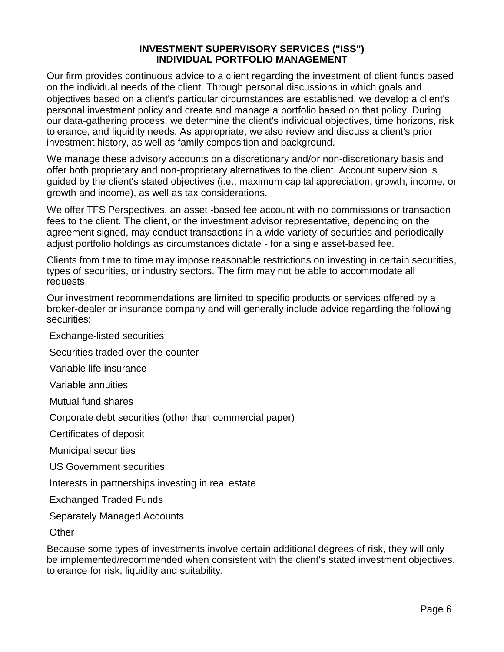#### **INVESTMENT SUPERVISORY SERVICES ("ISS") INDIVIDUAL PORTFOLIO MANAGEMENT**

Our firm provides continuous advice to a client regarding the investment of client funds based on the individual needs of the client. Through personal discussions in which goals and objectives based on a client's particular circumstances are established, we develop a client's personal investment policy and create and manage a portfolio based on that policy. During our data-gathering process, we determine the client's individual objectives, time horizons, risk tolerance, and liquidity needs. As appropriate, we also review and discuss a client's prior investment history, as well as family composition and background.

We manage these advisory accounts on a discretionary and/or non-discretionary basis and offer both proprietary and non-proprietary alternatives to the client. Account supervision is guided by the client's stated objectives (i.e., maximum capital appreciation, growth, income, or growth and income), as well as tax considerations.

We offer TFS Perspectives, an asset -based fee account with no commissions or transaction fees to the client. The client, or the investment advisor representative, depending on the agreement signed, may conduct transactions in a wide variety of securities and periodically adjust portfolio holdings as circumstances dictate - for a single asset-based fee.

Clients from time to time may impose reasonable restrictions on investing in certain securities, types of securities, or industry sectors. The firm may not be able to accommodate all requests.

Our investment recommendations are limited to specific products or services offered by a broker-dealer or insurance company and will generally include advice regarding the following securities:

Exchange-listed securities

Securities traded over-the-counter

Variable life insurance

Variable annuities

Mutual fund shares

Corporate debt securities (other than commercial paper)

Certificates of deposit

Municipal securities

US Government securities

Interests in partnerships investing in real estate

Exchanged Traded Funds

Separately Managed Accounts

**Other** 

Because some types of investments involve certain additional degrees of risk, they will only be implemented/recommended when consistent with the client's stated investment objectives, tolerance for risk, liquidity and suitability.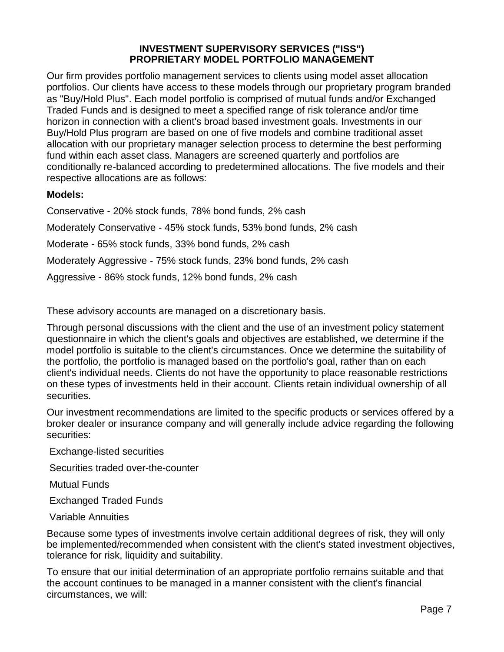#### **INVESTMENT SUPERVISORY SERVICES ("ISS") PROPRIETARY MODEL PORTFOLIO MANAGEMENT**

Our firm provides portfolio management services to clients using model asset allocation portfolios. Our clients have access to these models through our proprietary program branded as "Buy/Hold Plus". Each model portfolio is comprised of mutual funds and/or Exchanged Traded Funds and is designed to meet a specified range of risk tolerance and/or time horizon in connection with a client's broad based investment goals. Investments in our Buy/Hold Plus program are based on one of five models and combine traditional asset allocation with our proprietary manager selection process to determine the best performing fund within each asset class. Managers are screened quarterly and portfolios are conditionally re-balanced according to predetermined allocations. The five models and their respective allocations are as follows:

#### **Models:**

Conservative - 20% stock funds, 78% bond funds, 2% cash Moderately Conservative - 45% stock funds, 53% bond funds, 2% cash Moderate - 65% stock funds, 33% bond funds, 2% cash Moderately Aggressive - 75% stock funds, 23% bond funds, 2% cash Aggressive - 86% stock funds, 12% bond funds, 2% cash

These advisory accounts are managed on a discretionary basis.

Through personal discussions with the client and the use of an investment policy statement questionnaire in which the client's goals and objectives are established, we determine if the model portfolio is suitable to the client's circumstances. Once we determine the suitability of the portfolio, the portfolio is managed based on the portfolio's goal, rather than on each client's individual needs. Clients do not have the opportunity to place reasonable restrictions on these types of investments held in their account. Clients retain individual ownership of all securities.

Our investment recommendations are limited to the specific products or services offered by a broker dealer or insurance company and will generally include advice regarding the following securities:

Exchange-listed securities

Securities traded over-the-counter

Mutual Funds

Exchanged Traded Funds

Variable Annuities

Because some types of investments involve certain additional degrees of risk, they will only be implemented/recommended when consistent with the client's stated investment objectives, tolerance for risk, liquidity and suitability.

To ensure that our initial determination of an appropriate portfolio remains suitable and that the account continues to be managed in a manner consistent with the client's financial circumstances, we will: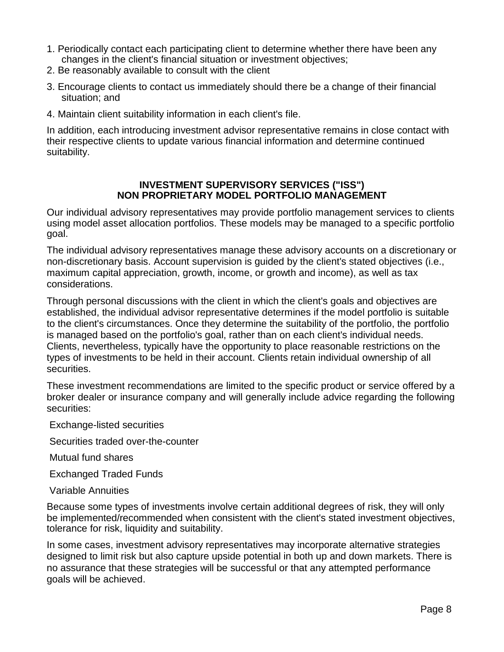- 1. Periodically contact each participating client to determine whether there have been any changes in the client's financial situation or investment objectives;
- 2. Be reasonably available to consult with the client
- 3. Encourage clients to contact us immediately should there be a change of their financial situation; and
- 4. Maintain client suitability information in each client's file.

In addition, each introducing investment advisor representative remains in close contact with their respective clients to update various financial information and determine continued suitability.

#### **INVESTMENT SUPERVISORY SERVICES ("ISS") NON PROPRIETARY MODEL PORTFOLIO MANAGEMENT**

Our individual advisory representatives may provide portfolio management services to clients using model asset allocation portfolios. These models may be managed to a specific portfolio goal.

The individual advisory representatives manage these advisory accounts on a discretionary or non-discretionary basis. Account supervision is guided by the client's stated objectives (i.e., maximum capital appreciation, growth, income, or growth and income), as well as tax considerations.

Through personal discussions with the client in which the client's goals and objectives are established, the individual advisor representative determines if the model portfolio is suitable to the client's circumstances. Once they determine the suitability of the portfolio, the portfolio is managed based on the portfolio's goal, rather than on each client's individual needs. Clients, nevertheless, typically have the opportunity to place reasonable restrictions on the types of investments to be held in their account. Clients retain individual ownership of all securities.

These investment recommendations are limited to the specific product or service offered by a broker dealer or insurance company and will generally include advice regarding the following securities:

Exchange-listed securities

Securities traded over-the-counter

Mutual fund shares

Exchanged Traded Funds

Variable Annuities

Because some types of investments involve certain additional degrees of risk, they will only be implemented/recommended when consistent with the client's stated investment objectives, tolerance for risk, liquidity and suitability.

In some cases, investment advisory representatives may incorporate alternative strategies designed to limit risk but also capture upside potential in both up and down markets. There is no assurance that these strategies will be successful or that any attempted performance goals will be achieved.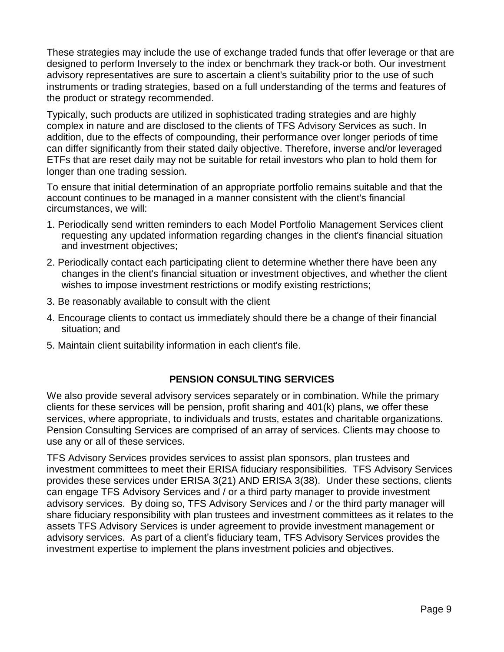These strategies may include the use of exchange traded funds that offer leverage or that are designed to perform Inversely to the index or benchmark they track-or both. Our investment advisory representatives are sure to ascertain a client's suitability prior to the use of such instruments or trading strategies, based on a full understanding of the terms and features of the product or strategy recommended.

Typically, such products are utilized in sophisticated trading strategies and are highly complex in nature and are disclosed to the clients of TFS Advisory Services as such. In addition, due to the effects of compounding, their performance over longer periods of time can differ significantly from their stated daily objective. Therefore, inverse and/or leveraged ETFs that are reset daily may not be suitable for retail investors who plan to hold them for longer than one trading session.

To ensure that initial determination of an appropriate portfolio remains suitable and that the account continues to be managed in a manner consistent with the client's financial circumstances, we will:

- 1. Periodically send written reminders to each Model Portfolio Management Services client requesting any updated information regarding changes in the client's financial situation and investment objectives;
- 2. Periodically contact each participating client to determine whether there have been any changes in the client's financial situation or investment objectives, and whether the client wishes to impose investment restrictions or modify existing restrictions;
- 3. Be reasonably available to consult with the client
- 4. Encourage clients to contact us immediately should there be a change of their financial situation; and
- 5. Maintain client suitability information in each client's file.

#### **PENSION CONSULTING SERVICES**

We also provide several advisory services separately or in combination. While the primary clients for these services will be pension, profit sharing and 401(k) plans, we offer these services, where appropriate, to individuals and trusts, estates and charitable organizations. Pension Consulting Services are comprised of an array of services. Clients may choose to use any or all of these services.

TFS Advisory Services provides services to assist plan sponsors, plan trustees and investment committees to meet their ERISA fiduciary responsibilities. TFS Advisory Services provides these services under ERISA 3(21) AND ERISA 3(38). Under these sections, clients can engage TFS Advisory Services and / or a third party manager to provide investment advisory services. By doing so, TFS Advisory Services and / or the third party manager will share fiduciary responsibility with plan trustees and investment committees as it relates to the assets TFS Advisory Services is under agreement to provide investment management or advisory services. As part of a client's fiduciary team, TFS Advisory Services provides the investment expertise to implement the plans investment policies and objectives.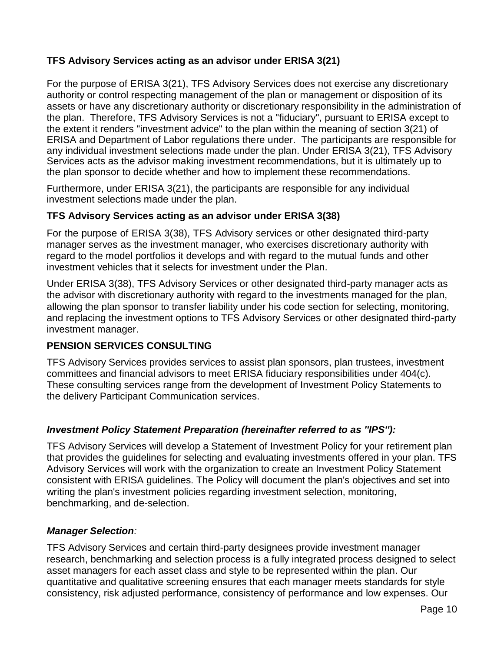### **TFS Advisory Services acting as an advisor under ERISA 3(21)**

For the purpose of ERISA 3(21), TFS Advisory Services does not exercise any discretionary authority or control respecting management of the plan or management or disposition of its assets or have any discretionary authority or discretionary responsibility in the administration of the plan. Therefore, TFS Advisory Services is not a "fiduciary", pursuant to ERISA except to the extent it renders "investment advice" to the plan within the meaning of section 3(21) of ERISA and Department of Labor regulations there under. The participants are responsible for any individual investment selections made under the plan. Under ERISA 3(21), TFS Advisory Services acts as the advisor making investment recommendations, but it is ultimately up to the plan sponsor to decide whether and how to implement these recommendations.

Furthermore, under ERISA 3(21), the participants are responsible for any individual investment selections made under the plan.

#### **TFS Advisory Services acting as an advisor under ERISA 3(38)**

For the purpose of ERISA 3(38), TFS Advisory services or other designated third-party manager serves as the investment manager, who exercises discretionary authority with regard to the model portfolios it develops and with regard to the mutual funds and other investment vehicles that it selects for investment under the Plan.

Under ERISA 3(38), TFS Advisory Services or other designated third-party manager acts as the advisor with discretionary authority with regard to the investments managed for the plan, allowing the plan sponsor to transfer liability under his code section for selecting, monitoring, and replacing the investment options to TFS Advisory Services or other designated third-party investment manager.

#### **PENSION SERVICES CONSULTING**

TFS Advisory Services provides services to assist plan sponsors, plan trustees, investment committees and financial advisors to meet ERISA fiduciary responsibilities under 404(c). These consulting services range from the development of Investment Policy Statements to the delivery Participant Communication services.

#### *Investment Policy Statement Preparation (hereinafter referred to as ''IPS''):*

TFS Advisory Services will develop a Statement of Investment Policy for your retirement plan that provides the guidelines for selecting and evaluating investments offered in your plan. TFS Advisory Services will work with the organization to create an Investment Policy Statement consistent with ERISA guidelines. The Policy will document the plan's objectives and set into writing the plan's investment policies regarding investment selection, monitoring, benchmarking, and de-selection.

#### *Manager Selection:*

TFS Advisory Services and certain third-party designees provide investment manager research, benchmarking and selection process is a fully integrated process designed to select asset managers for each asset class and style to be represented within the plan. Our quantitative and qualitative screening ensures that each manager meets standards for style consistency, risk adjusted performance, consistency of performance and low expenses. Our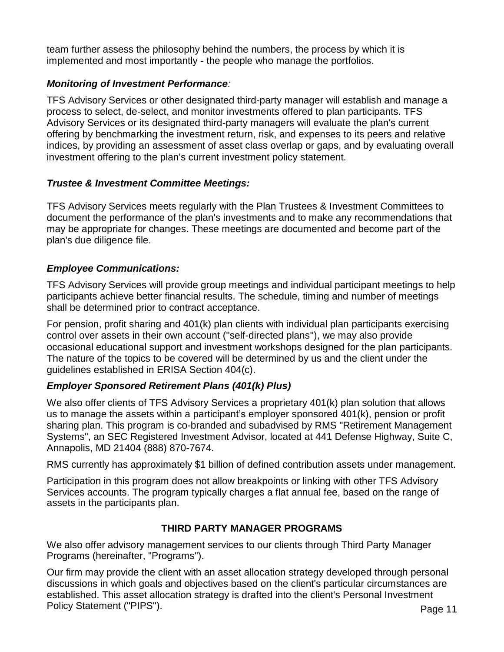team further assess the philosophy behind the numbers, the process by which it is implemented and most importantly - the people who manage the portfolios.

#### *Monitoring of Investment Performance:*

TFS Advisory Services or other designated third-party manager will establish and manage a process to select, de-select, and monitor investments offered to plan participants. TFS Advisory Services or its designated third-party managers will evaluate the plan's current offering by benchmarking the investment return, risk, and expenses to its peers and relative indices, by providing an assessment of asset class overlap or gaps, and by evaluating overall investment offering to the plan's current investment policy statement.

#### *Trustee & Investment Committee Meetings:*

TFS Advisory Services meets regularly with the Plan Trustees & Investment Committees to document the performance of the plan's investments and to make any recommendations that may be appropriate for changes. These meetings are documented and become part of the plan's due diligence file.

#### *Employee Communications:*

TFS Advisory Services will provide group meetings and individual participant meetings to help participants achieve better financial results. The schedule, timing and number of meetings shall be determined prior to contract acceptance.

For pension, profit sharing and 401(k) plan clients with individual plan participants exercising control over assets in their own account (''self-directed plans''), we may also provide occasional educational support and investment workshops designed for the plan participants. The nature of the topics to be covered will be determined by us and the client under the guidelines established in ERISA Section 404(c).

#### *Employer Sponsored Retirement Plans (401(k) Plus)*

We also offer clients of TFS Advisory Services a proprietary 401(k) plan solution that allows us to manage the assets within a participant's employer sponsored 401(k), pension or profit sharing plan. This program is co-branded and subadvised by RMS "Retirement Management Systems", an SEC Registered Investment Advisor, located at 441 Defense Highway, Suite C, Annapolis, MD 21404 (888) 870-7674.

RMS currently has approximately \$1 billion of defined contribution assets under management.

Participation in this program does not allow breakpoints or linking with other TFS Advisory Services accounts. The program typically charges a flat annual fee, based on the range of assets in the participants plan.

#### **THIRD PARTY MANAGER PROGRAMS**

We also offer advisory management services to our clients through Third Party Manager Programs (hereinafter, "Programs").

Our firm may provide the client with an asset allocation strategy developed through personal discussions in which goals and objectives based on the client's particular circumstances are established. This asset allocation strategy is drafted into the client's Personal Investment Policy Statement ("PIPS").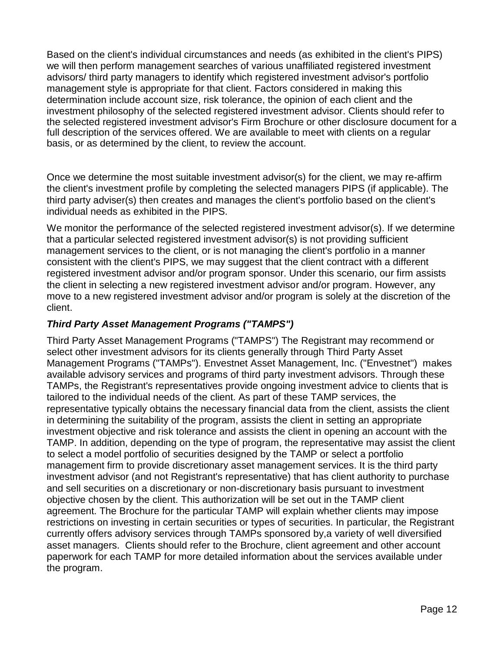Based on the client's individual circumstances and needs (as exhibited in the client's PIPS) we will then perform management searches of various unaffiliated registered investment advisors/ third party managers to identify which registered investment advisor's portfolio management style is appropriate for that client. Factors considered in making this determination include account size, risk tolerance, the opinion of each client and the investment philosophy of the selected registered investment advisor. Clients should refer to the selected registered investment advisor's Firm Brochure or other disclosure document for a full description of the services offered. We are available to meet with clients on a regular basis, or as determined by the client, to review the account.

Once we determine the most suitable investment advisor(s) for the client, we may re-affirm the client's investment profile by completing the selected managers PIPS (if applicable). The third party adviser(s) then creates and manages the client's portfolio based on the client's individual needs as exhibited in the PIPS.

We monitor the performance of the selected registered investment advisor(s). If we determine that a particular selected registered investment advisor(s) is not providing sufficient management services to the client, or is not managing the client's portfolio in a manner consistent with the client's PIPS, we may suggest that the client contract with a different registered investment advisor and/or program sponsor. Under this scenario, our firm assists the client in selecting a new registered investment advisor and/or program. However, any move to a new registered investment advisor and/or program is solely at the discretion of the client.

#### *Third Party Asset Management Programs ("TAMPS")*

Third Party Asset Management Programs ("TAMPS") The Registrant may recommend or select other investment advisors for its clients generally through Third Party Asset Management Programs ("TAMPs"). Envestnet Asset Management, Inc. ("Envestnet") makes available advisory services and programs of third party investment advisors. Through these TAMPs, the Registrant's representatives provide ongoing investment advice to clients that is tailored to the individual needs of the client. As part of these TAMP services, the representative typically obtains the necessary financial data from the client, assists the client in determining the suitability of the program, assists the client in setting an appropriate investment objective and risk tolerance and assists the client in opening an account with the TAMP. In addition, depending on the type of program, the representative may assist the client to select a model portfolio of securities designed by the TAMP or select a portfolio management firm to provide discretionary asset management services. It is the third party investment advisor (and not Registrant's representative) that has client authority to purchase and sell securities on a discretionary or non-discretionary basis pursuant to investment objective chosen by the client. This authorization will be set out in the TAMP client agreement. The Brochure for the particular TAMP will explain whether clients may impose restrictions on investing in certain securities or types of securities. In particular, the Registrant currently offers advisory services through TAMPs sponsored by,a variety of well diversified asset managers. Clients should refer to the Brochure, client agreement and other account paperwork for each TAMP for more detailed information about the services available under the program.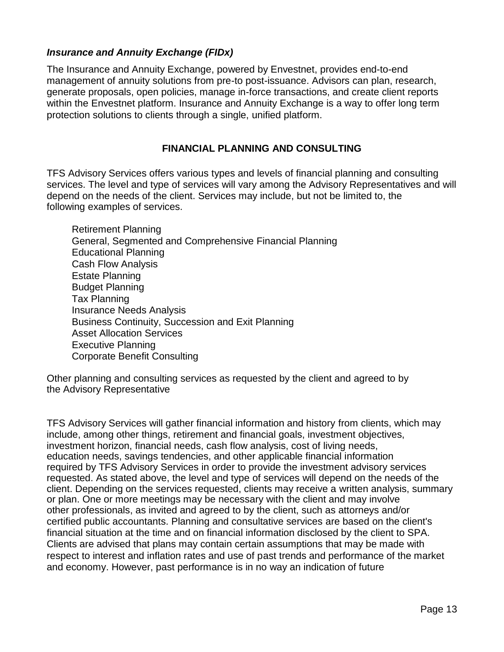#### *Insurance and Annuity Exchange (FIDx)*

The Insurance and Annuity Exchange, powered by Envestnet, provides end-to-end management of annuity solutions from pre-to post-issuance. Advisors can plan, research, generate proposals, open policies, manage in-force transactions, and create client reports within the Envestnet platform. Insurance and Annuity Exchange is a way to offer long term protection solutions to clients through a single, unified platform.

#### **FINANCIAL PLANNING AND CONSULTING**

TFS Advisory Services offers various types and levels of financial planning and consulting services. The level and type of services will vary among the Advisory Representatives and will depend on the needs of the client. Services may include, but not be limited to, the following examples of services.

 Retirement Planning General, Segmented and Comprehensive Financial Planning Educational Planning Cash Flow Analysis Estate Planning Budget Planning Tax Planning Insurance Needs Analysis Business Continuity, Succession and Exit Planning Asset Allocation Services Executive Planning Corporate Benefit Consulting

Other planning and consulting services as requested by the client and agreed to by the Advisory Representative

TFS Advisory Services will gather financial information and history from clients, which may include, among other things, retirement and financial goals, investment objectives, investment horizon, financial needs, cash flow analysis, cost of living needs, education needs, savings tendencies, and other applicable financial information required by TFS Advisory Services in order to provide the investment advisory services requested. As stated above, the level and type of services will depend on the needs of the client. Depending on the services requested, clients may receive a written analysis, summary or plan. One or more meetings may be necessary with the client and may involve other professionals, as invited and agreed to by the client, such as attorneys and/or certified public accountants. Planning and consultative services are based on the client's financial situation at the time and on financial information disclosed by the client to SPA. Clients are advised that plans may contain certain assumptions that may be made with respect to interest and inflation rates and use of past trends and performance of the market and economy. However, past performance is in no way an indication of future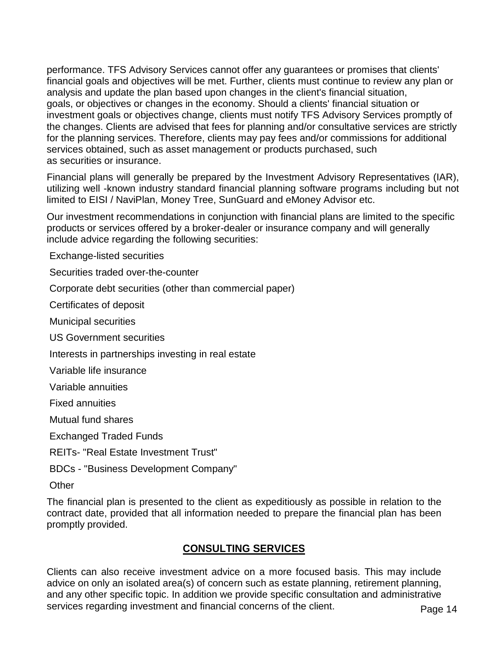performance. TFS Advisory Services cannot offer any guarantees or promises that clients' financial goals and objectives will be met. Further, clients must continue to review any plan or analysis and update the plan based upon changes in the client's financial situation, goals, or objectives or changes in the economy. Should a clients' financial situation or investment goals or objectives change, clients must notify TFS Advisory Services promptly of the changes. Clients are advised that fees for planning and/or consultative services are strictly for the planning services. Therefore, clients may pay fees and/or commissions for additional services obtained, such as asset management or products purchased, such as securities or insurance.

Financial plans will generally be prepared by the Investment Advisory Representatives (IAR), utilizing well -known industry standard financial planning software programs including but not limited to EISI / NaviPlan, Money Tree, SunGuard and eMoney Advisor etc.

Our investment recommendations in conjunction with financial plans are limited to the specific products or services offered by a broker-dealer or insurance company and will generally include advice regarding the following securities:

Exchange-listed securities

Securities traded over-the-counter

Corporate debt securities (other than commercial paper)

Certificates of deposit

Municipal securities

US Government securities

Interests in partnerships investing in real estate

Variable life insurance

Variable annuities

Fixed annuities

Mutual fund shares

Exchanged Traded Funds

REITs- "Real Estate Investment Trust"

BDCs - "Business Development Company"

**Other** 

The financial plan is presented to the client as expeditiously as possible in relation to the contract date, provided that all information needed to prepare the financial plan has been promptly provided.

# **CONSULTING SERVICES**

Clients can also receive investment advice on a more focused basis. This may include advice on only an isolated area(s) of concern such as estate planning, retirement planning, and any other specific topic. In addition we provide specific consultation and administrative services regarding investment and financial concerns of the client.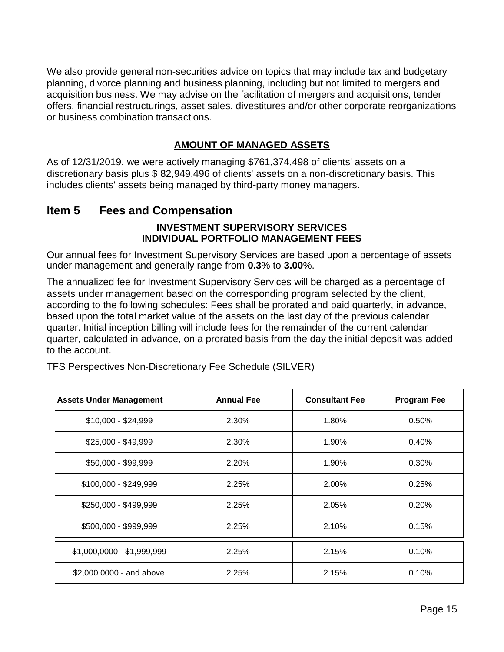We also provide general non-securities advice on topics that may include tax and budgetary planning, divorce planning and business planning, including but not limited to mergers and acquisition business. We may advise on the facilitation of mergers and acquisitions, tender offers, financial restructurings, asset sales, divestitures and/or other corporate reorganizations or business combination transactions.

#### **AMOUNT OF MANAGED ASSETS**

As of 12/31/2019, we were actively managing \$761,374,498 of clients' assets on a discretionary basis plus \$ 82,949,496 of clients' assets on a non-discretionary basis. This includes clients' assets being managed by third-party money managers.

# **Item 5 Fees and Compensation**

#### **INVESTMENT SUPERVISORY SERVICES INDIVIDUAL PORTFOLIO MANAGEMENT FEES**

Our annual fees for Investment Supervisory Services are based upon a percentage of assets under management and generally range from **0.3**% to **3.00**%.

The annualized fee for Investment Supervisory Services will be charged as a percentage of assets under management based on the corresponding program selected by the client, according to the following schedules: Fees shall be prorated and paid quarterly, in advance, based upon the total market value of the assets on the last day of the previous calendar quarter. Initial inception billing will include fees for the remainder of the current calendar quarter, calculated in advance, on a prorated basis from the day the initial deposit was added to the account.

| <b>Assets Under Management</b> | <b>Annual Fee</b> | <b>Consultant Fee</b> | <b>Program Fee</b> |
|--------------------------------|-------------------|-----------------------|--------------------|
| $$10,000 - $24,999$            | 2.30%             | 1.80%                 | 0.50%              |
| \$25,000 - \$49,999            | 2.30%             | 1.90%                 | 0.40%              |
| \$50,000 - \$99,999            | 2.20%             | 1.90%                 | 0.30%              |
| \$100,000 - \$249,999          | 2.25%             | 2.00%                 | 0.25%              |
| \$250,000 - \$499,999          | 2.25%             | 2.05%                 | 0.20%              |
| \$500,000 - \$999,999          | 2.25%             | 2.10%                 | 0.15%              |
| \$1,000,0000 - \$1,999,999     | 2.25%             | 2.15%                 | 0.10%              |
| \$2,000,0000 - and above       | 2.25%             | 2.15%                 | 0.10%              |

TFS Perspectives Non-Discretionary Fee Schedule (SILVER)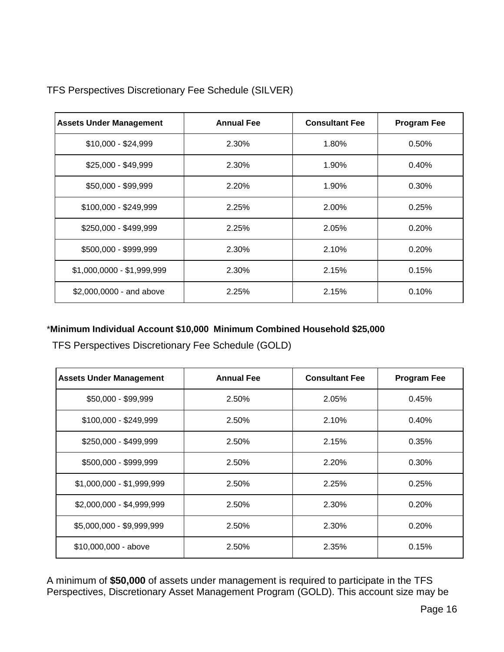| <b>Assets Under Management</b> | <b>Annual Fee</b> | <b>Consultant Fee</b> | <b>Program Fee</b> |
|--------------------------------|-------------------|-----------------------|--------------------|
| $$10,000 - $24,999$            | 2.30%             | 1.80%                 | 0.50%              |
| $$25,000 - $49,999$            | 2.30%             | 1.90%                 | 0.40%              |
| \$50,000 - \$99,999            | 2.20%             | 1.90%                 | 0.30%              |
| \$100,000 - \$249,999          | 2.25%             | 2.00%                 | 0.25%              |
| \$250,000 - \$499,999          | 2.25%             | 2.05%                 | 0.20%              |
| \$500,000 - \$999,999          | 2.30%             | 2.10%                 | 0.20%              |
| \$1,000,0000 - \$1,999,999     | 2.30%             | 2.15%                 | 0.15%              |
| \$2,000,0000 - and above       | 2.25%             | 2.15%                 | 0.10%              |

TFS Perspectives Discretionary Fee Schedule (SILVER)

#### \***Minimum Individual Account \$10,000 Minimum Combined Household \$25,000**

TFS Perspectives Discretionary Fee Schedule (GOLD)

| <b>Assets Under Management</b> | <b>Annual Fee</b> | <b>Consultant Fee</b> | <b>Program Fee</b> |
|--------------------------------|-------------------|-----------------------|--------------------|
| \$50,000 - \$99,999            | 2.50%             | 2.05%                 | 0.45%              |
| \$100,000 - \$249,999          | 2.50%             | 2.10%                 | 0.40%              |
| \$250,000 - \$499,999          | 2.50%             | 2.15%                 | 0.35%              |
| \$500,000 - \$999,999          | 2.50%             | 2.20%                 | 0.30%              |
| \$1,000,000 - \$1,999,999      | 2.50%             | 2.25%                 | 0.25%              |
| \$2,000,000 - \$4,999,999      | 2.50%             | 2.30%                 | 0.20%              |
| \$5,000,000 - \$9,999,999      | 2.50%             | 2.30%                 | 0.20%              |
| \$10,000,000 - above           | 2.50%             | 2.35%                 | 0.15%              |

A minimum of **\$50,000** of assets under management is required to participate in the TFS Perspectives, Discretionary Asset Management Program (GOLD). This account size may be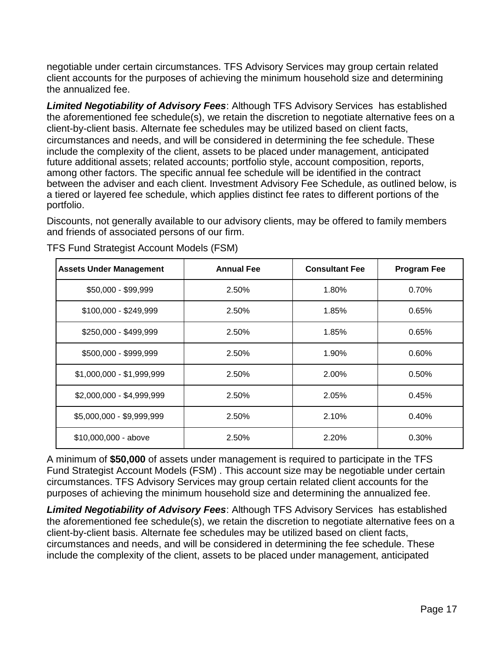negotiable under certain circumstances. TFS Advisory Services may group certain related client accounts for the purposes of achieving the minimum household size and determining the annualized fee.

*Limited Negotiability of Advisory Fees*: Although TFS Advisory Services has established the aforementioned fee schedule(s), we retain the discretion to negotiate alternative fees on a client-by-client basis. Alternate fee schedules may be utilized based on client facts, circumstances and needs, and will be considered in determining the fee schedule. These include the complexity of the client, assets to be placed under management, anticipated future additional assets; related accounts; portfolio style, account composition, reports, among other factors. The specific annual fee schedule will be identified in the contract between the adviser and each client. Investment Advisory Fee Schedule, as outlined below, is a tiered or layered fee schedule, which applies distinct fee rates to different portions of the portfolio.

Discounts, not generally available to our advisory clients, may be offered to family members and friends of associated persons of our firm.

| <b>Assets Under Management</b> | <b>Annual Fee</b> | <b>Consultant Fee</b> | <b>Program Fee</b> |
|--------------------------------|-------------------|-----------------------|--------------------|
| \$50,000 - \$99,999            | 2.50%             | 1.80%                 | 0.70%              |
| \$100,000 - \$249,999          | 2.50%             | 1.85%                 | 0.65%              |
| \$250,000 - \$499,999          | 2.50%             | 1.85%                 | 0.65%              |
| \$500,000 - \$999,999          | 2.50%             | 1.90%                 | 0.60%              |
| \$1,000,000 - \$1,999,999      | 2.50%             | 2.00%                 | 0.50%              |
| \$2,000,000 - \$4,999,999      | 2.50%             | 2.05%                 | 0.45%              |
| \$5,000,000 - \$9,999,999      | 2.50%             | 2.10%                 | 0.40%              |
| \$10,000,000 - above           | 2.50%             | 2.20%                 | 0.30%              |

TFS Fund Strategist Account Models (FSM)

A minimum of **\$50,000** of assets under management is required to participate in the TFS Fund Strategist Account Models (FSM) . This account size may be negotiable under certain circumstances. TFS Advisory Services may group certain related client accounts for the purposes of achieving the minimum household size and determining the annualized fee.

*Limited Negotiability of Advisory Fees*: Although TFS Advisory Services has established the aforementioned fee schedule(s), we retain the discretion to negotiate alternative fees on a client-by-client basis. Alternate fee schedules may be utilized based on client facts, circumstances and needs, and will be considered in determining the fee schedule. These include the complexity of the client, assets to be placed under management, anticipated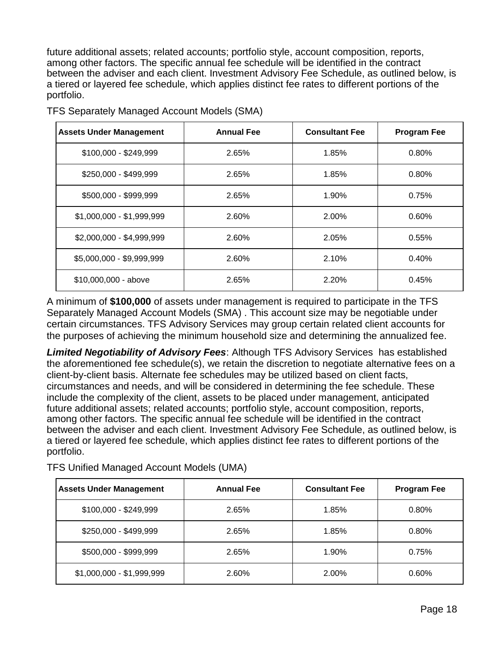future additional assets; related accounts; portfolio style, account composition, reports, among other factors. The specific annual fee schedule will be identified in the contract between the adviser and each client. Investment Advisory Fee Schedule, as outlined below, is a tiered or layered fee schedule, which applies distinct fee rates to different portions of the portfolio.

| <b>Assets Under Management</b> | <b>Annual Fee</b> | <b>Consultant Fee</b> | <b>Program Fee</b> |
|--------------------------------|-------------------|-----------------------|--------------------|
| \$100,000 - \$249,999          | 2.65%             | 1.85%                 | 0.80%              |
| \$250,000 - \$499,999          | 2.65%             | 1.85%                 | 0.80%              |
| \$500,000 - \$999,999          | 2.65%             | 1.90%                 | 0.75%              |
| \$1,000,000 - \$1,999,999      | 2.60%             | 2.00%                 | 0.60%              |
| \$2,000,000 - \$4,999,999      | 2.60%             | 2.05%                 | 0.55%              |
| \$5,000,000 - \$9,999,999      | 2.60%             | 2.10%                 | 0.40%              |
| \$10,000,000 - above           | 2.65%             | 2.20%                 | 0.45%              |

TFS Separately Managed Account Models (SMA)

A minimum of **\$100,000** of assets under management is required to participate in the TFS Separately Managed Account Models (SMA) . This account size may be negotiable under certain circumstances. TFS Advisory Services may group certain related client accounts for the purposes of achieving the minimum household size and determining the annualized fee.

*Limited Negotiability of Advisory Fees*: Although TFS Advisory Services has established the aforementioned fee schedule(s), we retain the discretion to negotiate alternative fees on a client-by-client basis. Alternate fee schedules may be utilized based on client facts, circumstances and needs, and will be considered in determining the fee schedule. These include the complexity of the client, assets to be placed under management, anticipated future additional assets; related accounts; portfolio style, account composition, reports, among other factors. The specific annual fee schedule will be identified in the contract between the adviser and each client. Investment Advisory Fee Schedule, as outlined below, is a tiered or layered fee schedule, which applies distinct fee rates to different portions of the portfolio.

TFS Unified Managed Account Models (UMA)

| <b>Assets Under Management</b> | <b>Annual Fee</b> | <b>Consultant Fee</b> | <b>Program Fee</b> |
|--------------------------------|-------------------|-----------------------|--------------------|
| \$100,000 - \$249,999          | 2.65%             | 1.85%                 | 0.80%              |
| \$250,000 - \$499,999          | 2.65%             | 1.85%                 | 0.80%              |
| \$500,000 - \$999,999          | 2.65%             | 1.90%                 | 0.75%              |
| \$1,000,000 - \$1,999,999      | 2.60%             | 2.00%                 | 0.60%              |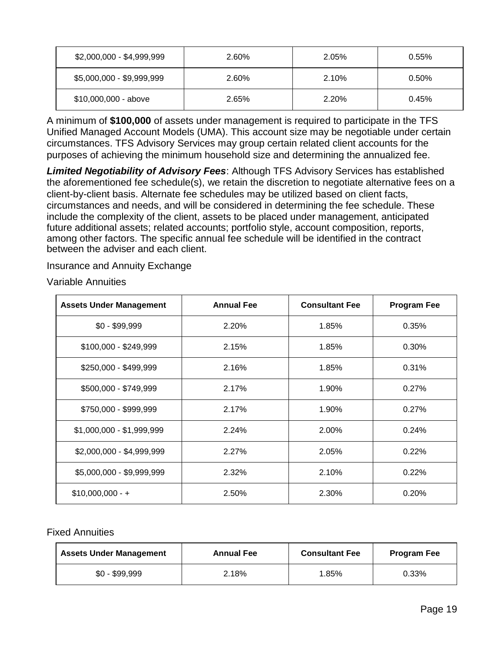| \$2,000,000 - \$4,999,999 | 2.60% | 2.05% | $0.55\%$ |
|---------------------------|-------|-------|----------|
| \$5,000,000 - \$9,999,999 | 2.60% | 2.10% | 0.50%    |
| $$10,000,000 - above$     | 2.65% | 2.20% | 0.45%    |

A minimum of **\$100,000** of assets under management is required to participate in the TFS Unified Managed Account Models (UMA). This account size may be negotiable under certain circumstances. TFS Advisory Services may group certain related client accounts for the purposes of achieving the minimum household size and determining the annualized fee.

*Limited Negotiability of Advisory Fees*: Although TFS Advisory Services has established the aforementioned fee schedule(s), we retain the discretion to negotiate alternative fees on a client-by-client basis. Alternate fee schedules may be utilized based on client facts, circumstances and needs, and will be considered in determining the fee schedule. These include the complexity of the client, assets to be placed under management, anticipated future additional assets; related accounts; portfolio style, account composition, reports, among other factors. The specific annual fee schedule will be identified in the contract between the adviser and each client.

Insurance and Annuity Exchange

Variable Annuities

| <b>Assets Under Management</b> | <b>Annual Fee</b> | <b>Consultant Fee</b> | <b>Program Fee</b> |
|--------------------------------|-------------------|-----------------------|--------------------|
| $$0 - $99,999$                 | 2.20%             | 1.85%                 | 0.35%              |
| \$100,000 - \$249,999          | 2.15%             | 1.85%                 | 0.30%              |
| \$250,000 - \$499,999          | 2.16%             | 1.85%                 | 0.31%              |
| \$500,000 - \$749,999          | 2.17%             | 1.90%                 | 0.27%              |
| \$750,000 - \$999,999          | 2.17%             | 1.90%                 | 0.27%              |
| \$1,000,000 - \$1,999,999      | 2.24%             | 2.00%                 | 0.24%              |
| \$2,000,000 - \$4,999,999      | 2.27%             | 2.05%                 | 0.22%              |
| \$5,000,000 - \$9,999,999      | 2.32%             | 2.10%                 | 0.22%              |
| $$10,000,000 - +$              | 2.50%             | 2.30%                 | 0.20%              |

#### Fixed Annuities

| <b>Assets Under Management</b> | <b>Annual Fee</b> | <b>Consultant Fee</b> | <b>Program Fee</b> |
|--------------------------------|-------------------|-----------------------|--------------------|
| $$0 - $99,999$                 | 2.18%             | 1.85%                 | 0.33%              |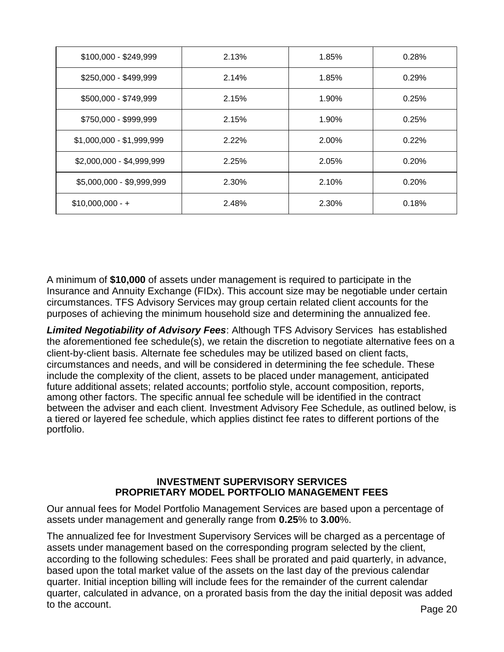| \$100,000 - \$249,999     | 2.13% | 1.85% | 0.28% |
|---------------------------|-------|-------|-------|
| \$250,000 - \$499,999     | 2.14% | 1.85% | 0.29% |
| \$500,000 - \$749,999     | 2.15% | 1.90% | 0.25% |
| \$750,000 - \$999,999     | 2.15% | 1.90% | 0.25% |
| \$1,000,000 - \$1,999,999 | 2.22% | 2.00% | 0.22% |
| \$2,000,000 - \$4,999,999 | 2.25% | 2.05% | 0.20% |
| \$5,000,000 - \$9,999,999 | 2.30% | 2.10% | 0.20% |
| $$10,000,000 - +$         | 2.48% | 2.30% | 0.18% |

A minimum of **\$10,000** of assets under management is required to participate in the Insurance and Annuity Exchange (FIDx). This account size may be negotiable under certain circumstances. TFS Advisory Services may group certain related client accounts for the purposes of achieving the minimum household size and determining the annualized fee.

*Limited Negotiability of Advisory Fees*: Although TFS Advisory Services has established the aforementioned fee schedule(s), we retain the discretion to negotiate alternative fees on a client-by-client basis. Alternate fee schedules may be utilized based on client facts, circumstances and needs, and will be considered in determining the fee schedule. These include the complexity of the client, assets to be placed under management, anticipated future additional assets; related accounts; portfolio style, account composition, reports, among other factors. The specific annual fee schedule will be identified in the contract between the adviser and each client. Investment Advisory Fee Schedule, as outlined below, is a tiered or layered fee schedule, which applies distinct fee rates to different portions of the portfolio.

#### **INVESTMENT SUPERVISORY SERVICES PROPRIETARY MODEL PORTFOLIO MANAGEMENT FEES**

Our annual fees for Model Portfolio Management Services are based upon a percentage of assets under management and generally range from **0.25**% to **3.00**%.

The annualized fee for Investment Supervisory Services will be charged as a percentage of assets under management based on the corresponding program selected by the client, according to the following schedules: Fees shall be prorated and paid quarterly, in advance, based upon the total market value of the assets on the last day of the previous calendar quarter. Initial inception billing will include fees for the remainder of the current calendar quarter, calculated in advance, on a prorated basis from the day the initial deposit was added to the account.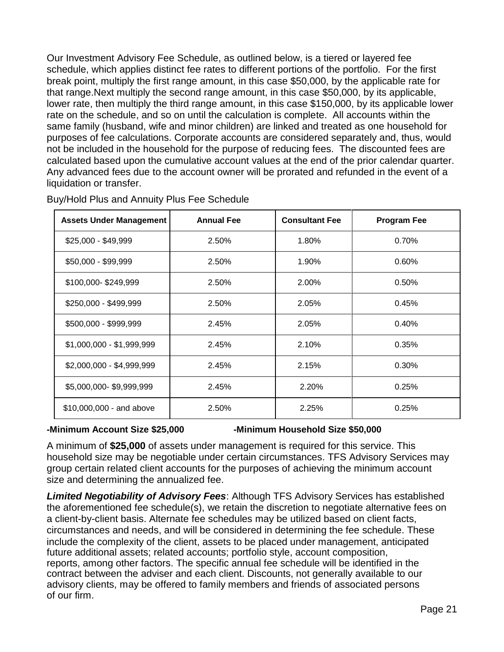Our Investment Advisory Fee Schedule, as outlined below, is a tiered or layered fee schedule, which applies distinct fee rates to different portions of the portfolio. For the first break point, multiply the first range amount, in this case \$50,000, by the applicable rate for that range.Next multiply the second range amount, in this case \$50,000, by its applicable, lower rate, then multiply the third range amount, in this case \$150,000, by its applicable lower rate on the schedule, and so on until the calculation is complete. All accounts within the same family (husband, wife and minor children) are linked and treated as one household for purposes of fee calculations. Corporate accounts are considered separately and, thus, would not be included in the household for the purpose of reducing fees. The discounted fees are calculated based upon the cumulative account values at the end of the prior calendar quarter. Any advanced fees due to the account owner will be prorated and refunded in the event of a liquidation or transfer.

| <b>Assets Under Management</b> | <b>Annual Fee</b> | <b>Consultant Fee</b> | <b>Program Fee</b> |
|--------------------------------|-------------------|-----------------------|--------------------|
| $$25,000 - $49,999$            | 2.50%             | 1.80%                 | 0.70%              |
| \$50,000 - \$99,999            | 2.50%             | 1.90%                 | 0.60%              |
| \$100,000-\$249,999            | 2.50%             | 2.00%                 | 0.50%              |
| \$250,000 - \$499,999          | 2.50%             | 2.05%                 | 0.45%              |
| \$500,000 - \$999,999          | 2.45%             | 2.05%                 | 0.40%              |
| \$1,000,000 - \$1,999,999      | 2.45%             | 2.10%                 | 0.35%              |
| \$2,000,000 - \$4,999,999      | 2.45%             | 2.15%                 | 0.30%              |
| \$5,000,000-\$9,999,999        | 2.45%             | 2.20%                 | 0.25%              |
| \$10,000,000 - and above       | 2.50%             | 2.25%                 | 0.25%              |

Buy/Hold Plus and Annuity Plus Fee Schedule

#### **-Minimum Account Size \$25,000 -Minimum Household Size \$50,000**

A minimum of **\$25,000** of assets under management is required for this service. This household size may be negotiable under certain circumstances. TFS Advisory Services may group certain related client accounts for the purposes of achieving the minimum account size and determining the annualized fee.

*Limited Negotiability of Advisory Fees*: Although TFS Advisory Services has established the aforementioned fee schedule(s), we retain the discretion to negotiate alternative fees on a client-by-client basis. Alternate fee schedules may be utilized based on client facts, circumstances and needs, and will be considered in determining the fee schedule. These include the complexity of the client, assets to be placed under management, anticipated future additional assets; related accounts; portfolio style, account composition, reports, among other factors. The specific annual fee schedule will be identified in the contract between the adviser and each client. Discounts, not generally available to our advisory clients, may be offered to family members and friends of associated persons of our firm.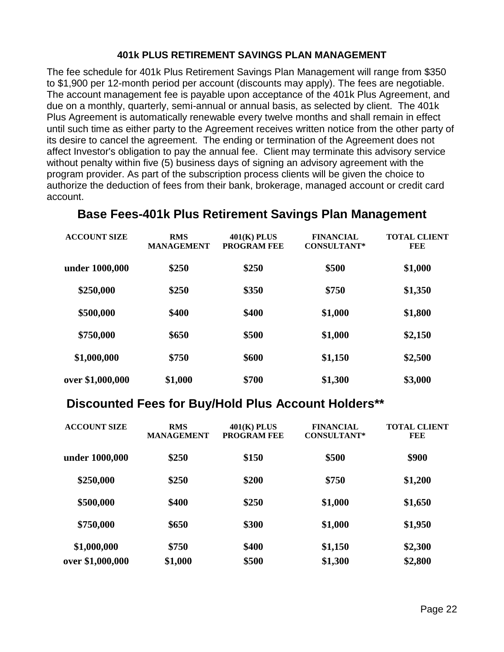#### **401k PLUS RETIREMENT SAVINGS PLAN MANAGEMENT**

The fee schedule for 401k Plus Retirement Savings Plan Management will range from \$350 to \$1,900 per 12-month period per account (discounts may apply). The fees are negotiable. The account management fee is payable upon acceptance of the 401k Plus Agreement, and due on a monthly, quarterly, semi-annual or annual basis, as selected by client. The 401k Plus Agreement is automatically renewable every twelve months and shall remain in effect until such time as either party to the Agreement receives written notice from the other party of its desire to cancel the agreement. The ending or termination of the Agreement does not affect Investor's obligation to pay the annual fee. Client may terminate this advisory service without penalty within five (5) business days of signing an advisory agreement with the program provider. As part of the subscription process clients will be given the choice to authorize the deduction of fees from their bank, brokerage, managed account or credit card account.

| <b>ACCOUNT SIZE</b> | <b>RMS</b><br><b>MANAGEMENT</b> | $401(K)$ PLUS<br><b>PROGRAM FEE</b> | <b>FINANCIAL</b><br><b>CONSULTANT*</b> | <b>TOTAL CLIENT</b><br>FEE |
|---------------------|---------------------------------|-------------------------------------|----------------------------------------|----------------------------|
| under 1000,000      | \$250                           | \$250                               | \$500                                  | \$1,000                    |
| \$250,000           | \$250                           | \$350                               | \$750                                  | \$1,350                    |
| \$500,000           | \$400                           | \$400                               | \$1,000                                | \$1,800                    |
| \$750,000           | \$650                           | \$500                               | \$1,000                                | \$2,150                    |
| \$1,000,000         | \$750                           | \$600                               | \$1,150                                | \$2,500                    |
| over \$1,000,000    | \$1,000                         | \$700                               | \$1,300                                | \$3,000                    |

# **Base Fees-401k Plus Retirement Savings Plan Management**

# **Discounted Fees for Buy/Hold Plus Account Holders\*\***

| <b>ACCOUNT SIZE</b> | <b>RMS</b><br><b>MANAGEMENT</b> | $401(K)$ PLUS<br><b>PROGRAM FEE</b> | <b>FINANCIAL</b><br><b>CONSULTANT*</b> | <b>TOTAL CLIENT</b><br>FEE |
|---------------------|---------------------------------|-------------------------------------|----------------------------------------|----------------------------|
| under 1000,000      | \$250                           | \$150                               | \$500                                  | \$900                      |
| \$250,000           | \$250                           | \$200                               | \$750                                  | \$1,200                    |
| \$500,000           | \$400                           | \$250                               | \$1,000                                | \$1,650                    |
| \$750,000           | \$650                           | \$300                               | \$1,000                                | \$1,950                    |
| \$1,000,000         | \$750                           | \$400                               | \$1,150                                | \$2,300                    |
| over \$1,000,000    | \$1,000                         | \$500                               | \$1,300                                | \$2,800                    |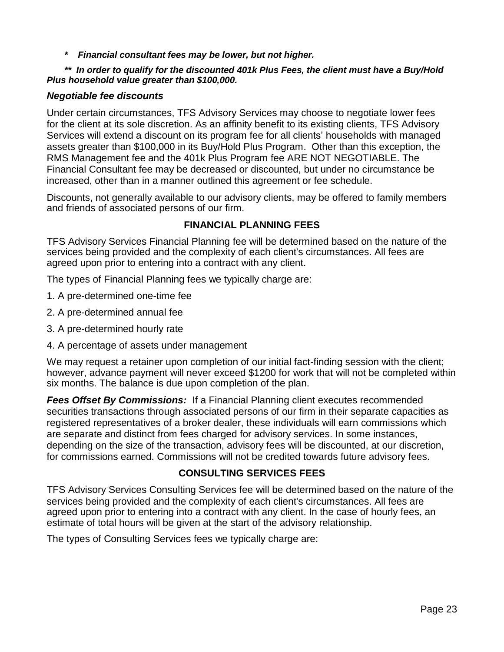*\* Financial consultant fees may be lower, but not higher.*

#### *\*\* In order to qualify for the discounted 401k Plus Fees, the client must have a Buy/Hold Plus household value greater than \$100,000.*

#### *Negotiable fee discounts*

Under certain circumstances, TFS Advisory Services may choose to negotiate lower fees for the client at its sole discretion. As an affinity benefit to its existing clients, TFS Advisory Services will extend a discount on its program fee for all clients' households with managed assets greater than \$100,000 in its Buy/Hold Plus Program. Other than this exception, the RMS Management fee and the 401k Plus Program fee ARE NOT NEGOTIABLE. The Financial Consultant fee may be decreased or discounted, but under no circumstance be increased, other than in a manner outlined this agreement or fee schedule.

Discounts, not generally available to our advisory clients, may be offered to family members and friends of associated persons of our firm.

#### **FINANCIAL PLANNING FEES**

TFS Advisory Services Financial Planning fee will be determined based on the nature of the services being provided and the complexity of each client's circumstances. All fees are agreed upon prior to entering into a contract with any client.

The types of Financial Planning fees we typically charge are:

- 1. A pre-determined one-time fee
- 2. A pre-determined annual fee
- 3. A pre-determined hourly rate
- 4. A percentage of assets under management

We may request a retainer upon completion of our initial fact-finding session with the client; however, advance payment will never exceed \$1200 for work that will not be completed within six months. The balance is due upon completion of the plan.

*Fees Offset By Commissions:* If a Financial Planning client executes recommended securities transactions through associated persons of our firm in their separate capacities as registered representatives of a broker dealer, these individuals will earn commissions which are separate and distinct from fees charged for advisory services. In some instances, depending on the size of the transaction, advisory fees will be discounted, at our discretion, for commissions earned. Commissions will not be credited towards future advisory fees.

#### **CONSULTING SERVICES FEES**

TFS Advisory Services Consulting Services fee will be determined based on the nature of the services being provided and the complexity of each client's circumstances. All fees are agreed upon prior to entering into a contract with any client. In the case of hourly fees, an estimate of total hours will be given at the start of the advisory relationship.

The types of Consulting Services fees we typically charge are: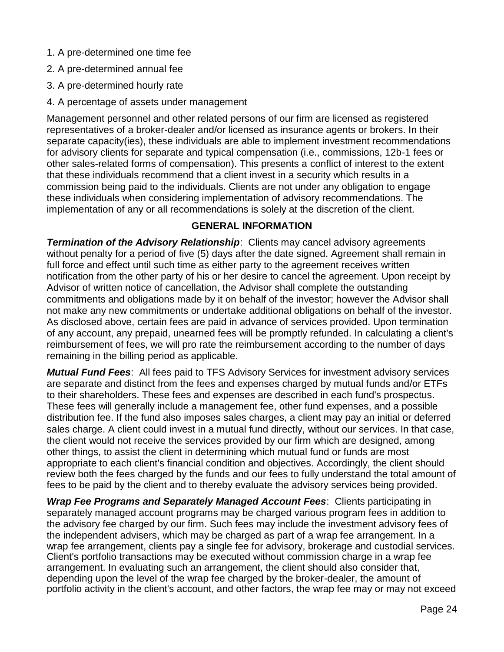- 1. A pre-determined one time fee
- 2. A pre-determined annual fee
- 3. A pre-determined hourly rate
- 4. A percentage of assets under management

Management personnel and other related persons of our firm are licensed as registered representatives of a broker-dealer and/or licensed as insurance agents or brokers. In their separate capacity(ies), these individuals are able to implement investment recommendations for advisory clients for separate and typical compensation (i.e., commissions, 12b-1 fees or other sales-related forms of compensation). This presents a conflict of interest to the extent that these individuals recommend that a client invest in a security which results in a commission being paid to the individuals. Clients are not under any obligation to engage these individuals when considering implementation of advisory recommendations. The implementation of any or all recommendations is solely at the discretion of the client.

#### **GENERAL INFORMATION**

*Termination of the Advisory Relationship: Clients may cancel advisory agreements* without penalty for a period of five (5) days after the date signed. Agreement shall remain in full force and effect until such time as either party to the agreement receives written notification from the other party of his or her desire to cancel the agreement. Upon receipt by Advisor of written notice of cancellation, the Advisor shall complete the outstanding commitments and obligations made by it on behalf of the investor; however the Advisor shall not make any new commitments or undertake additional obligations on behalf of the investor. As disclosed above, certain fees are paid in advance of services provided. Upon termination of any account, any prepaid, unearned fees will be promptly refunded. In calculating a client's reimbursement of fees, we will pro rate the reimbursement according to the number of days remaining in the billing period as applicable.

*Mutual Fund Fees*: All fees paid to TFS Advisory Services for investment advisory services are separate and distinct from the fees and expenses charged by mutual funds and/or ETFs to their shareholders. These fees and expenses are described in each fund's prospectus. These fees will generally include a management fee, other fund expenses, and a possible distribution fee. If the fund also imposes sales charges, a client may pay an initial or deferred sales charge. A client could invest in a mutual fund directly, without our services. In that case, the client would not receive the services provided by our firm which are designed, among other things, to assist the client in determining which mutual fund or funds are most appropriate to each client's financial condition and objectives. Accordingly, the client should review both the fees charged by the funds and our fees to fully understand the total amount of fees to be paid by the client and to thereby evaluate the advisory services being provided.

*Wrap Fee Programs and Separately Managed Account Fees*: Clients participating in separately managed account programs may be charged various program fees in addition to the advisory fee charged by our firm. Such fees may include the investment advisory fees of the independent advisers, which may be charged as part of a wrap fee arrangement. In a wrap fee arrangement, clients pay a single fee for advisory, brokerage and custodial services. Client's portfolio transactions may be executed without commission charge in a wrap fee arrangement. In evaluating such an arrangement, the client should also consider that, depending upon the level of the wrap fee charged by the broker-dealer, the amount of portfolio activity in the client's account, and other factors, the wrap fee may or may not exceed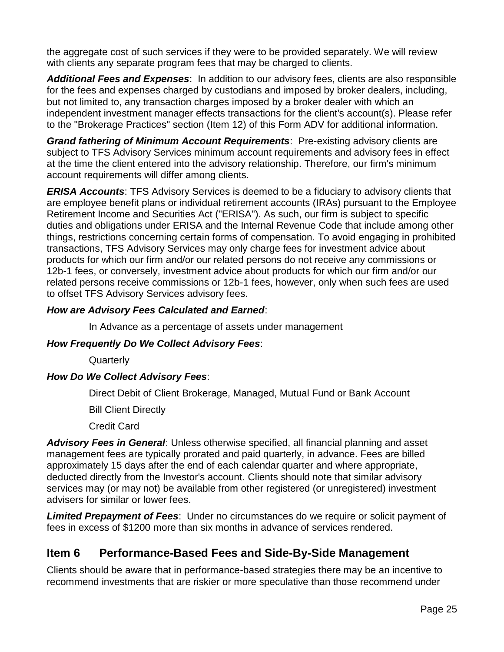the aggregate cost of such services if they were to be provided separately. We will review with clients any separate program fees that may be charged to clients.

*Additional Fees and Expenses*: In addition to our advisory fees, clients are also responsible for the fees and expenses charged by custodians and imposed by broker dealers, including, but not limited to, any transaction charges imposed by a broker dealer with which an independent investment manager effects transactions for the client's account(s). Please refer to the "Brokerage Practices" section (Item 12) of this Form ADV for additional information.

*Grand fathering of Minimum Account Requirements*: Pre-existing advisory clients are subject to TFS Advisory Services minimum account requirements and advisory fees in effect at the time the client entered into the advisory relationship. Therefore, our firm's minimum account requirements will differ among clients.

*ERISA Accounts*: TFS Advisory Services is deemed to be a fiduciary to advisory clients that are employee benefit plans or individual retirement accounts (IRAs) pursuant to the Employee Retirement Income and Securities Act ("ERISA"). As such, our firm is subject to specific duties and obligations under ERISA and the Internal Revenue Code that include among other things, restrictions concerning certain forms of compensation. To avoid engaging in prohibited transactions, TFS Advisory Services may only charge fees for investment advice about products for which our firm and/or our related persons do not receive any commissions or 12b-1 fees, or conversely, investment advice about products for which our firm and/or our related persons receive commissions or 12b-1 fees, however, only when such fees are used to offset TFS Advisory Services advisory fees.

#### *How are Advisory Fees Calculated and Earned*:

In Advance as a percentage of assets under management

#### *How Frequently Do We Collect Advisory Fees*:

**Quarterly** 

#### *How Do We Collect Advisory Fees*:

Direct Debit of Client Brokerage, Managed, Mutual Fund or Bank Account

Bill Client Directly

Credit Card

*Advisory Fees in General*: Unless otherwise specified, all financial planning and asset management fees are typically prorated and paid quarterly, in advance. Fees are billed approximately 15 days after the end of each calendar quarter and where appropriate, deducted directly from the Investor's account. Clients should note that similar advisory services may (or may not) be available from other registered (or unregistered) investment advisers for similar or lower fees.

*Limited Prepayment of Fees*: Under no circumstances do we require or solicit payment of fees in excess of \$1200 more than six months in advance of services rendered.

# **Item 6 Performance-Based Fees and Side-By-Side Management**

Clients should be aware that in performance-based strategies there may be an incentive to recommend investments that are riskier or more speculative than those recommend under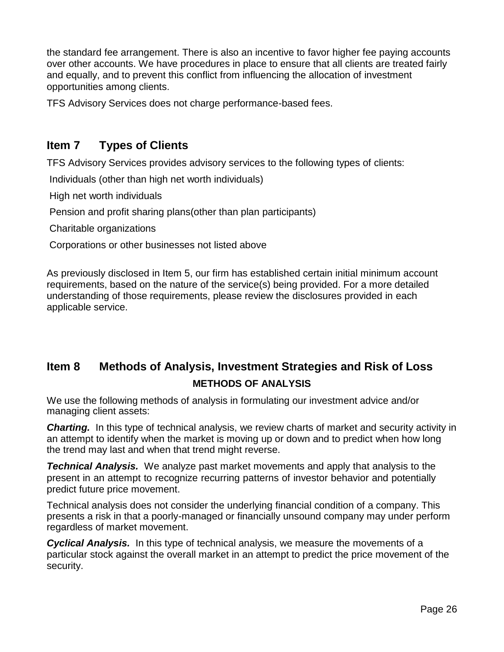the standard fee arrangement. There is also an incentive to favor higher fee paying accounts over other accounts. We have procedures in place to ensure that all clients are treated fairly and equally, and to prevent this conflict from influencing the allocation of investment opportunities among clients.

TFS Advisory Services does not charge performance-based fees.

# **Item 7 Types of Clients**

TFS Advisory Services provides advisory services to the following types of clients:

Individuals (other than high net worth individuals)

High net worth individuals

Pension and profit sharing plans(other than plan participants)

Charitable organizations

Corporations or other businesses not listed above

As previously disclosed in Item 5, our firm has established certain initial minimum account requirements, based on the nature of the service(s) being provided. For a more detailed understanding of those requirements, please review the disclosures provided in each applicable service.

# **Item 8 Methods of Analysis, Investment Strategies and Risk of Loss METHODS OF ANALYSIS**

We use the following methods of analysis in formulating our investment advice and/or managing client assets:

**Charting.** In this type of technical analysis, we review charts of market and security activity in an attempt to identify when the market is moving up or down and to predict when how long the trend may last and when that trend might reverse.

*Technical Analysis.* We analyze past market movements and apply that analysis to the present in an attempt to recognize recurring patterns of investor behavior and potentially predict future price movement.

Technical analysis does not consider the underlying financial condition of a company. This presents a risk in that a poorly-managed or financially unsound company may under perform regardless of market movement.

*Cyclical Analysis.* In this type of technical analysis, we measure the movements of a particular stock against the overall market in an attempt to predict the price movement of the security.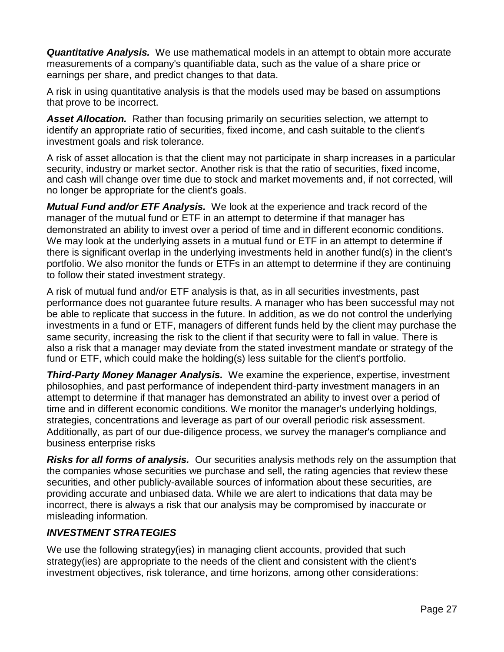*Quantitative Analysis.* We use mathematical models in an attempt to obtain more accurate measurements of a company's quantifiable data, such as the value of a share price or earnings per share, and predict changes to that data.

A risk in using quantitative analysis is that the models used may be based on assumptions that prove to be incorrect.

*Asset Allocation.* Rather than focusing primarily on securities selection, we attempt to identify an appropriate ratio of securities, fixed income, and cash suitable to the client's investment goals and risk tolerance.

A risk of asset allocation is that the client may not participate in sharp increases in a particular security, industry or market sector. Another risk is that the ratio of securities, fixed income, and cash will change over time due to stock and market movements and, if not corrected, will no longer be appropriate for the client's goals.

*Mutual Fund and/or ETF Analysis.* We look at the experience and track record of the manager of the mutual fund or ETF in an attempt to determine if that manager has demonstrated an ability to invest over a period of time and in different economic conditions. We may look at the underlying assets in a mutual fund or ETF in an attempt to determine if there is significant overlap in the underlying investments held in another fund(s) in the client's portfolio. We also monitor the funds or ETFs in an attempt to determine if they are continuing to follow their stated investment strategy.

A risk of mutual fund and/or ETF analysis is that, as in all securities investments, past performance does not guarantee future results. A manager who has been successful may not be able to replicate that success in the future. In addition, as we do not control the underlying investments in a fund or ETF, managers of different funds held by the client may purchase the same security, increasing the risk to the client if that security were to fall in value. There is also a risk that a manager may deviate from the stated investment mandate or strategy of the fund or ETF, which could make the holding(s) less suitable for the client's portfolio.

*Third-Party Money Manager Analysis.* We examine the experience, expertise, investment philosophies, and past performance of independent third-party investment managers in an attempt to determine if that manager has demonstrated an ability to invest over a period of time and in different economic conditions. We monitor the manager's underlying holdings, strategies, concentrations and leverage as part of our overall periodic risk assessment. Additionally, as part of our due-diligence process, we survey the manager's compliance and business enterprise risks

*Risks for all forms of analysis.* Our securities analysis methods rely on the assumption that the companies whose securities we purchase and sell, the rating agencies that review these securities, and other publicly-available sources of information about these securities, are providing accurate and unbiased data. While we are alert to indications that data may be incorrect, there is always a risk that our analysis may be compromised by inaccurate or misleading information.

#### *INVESTMENT STRATEGIES*

We use the following strategy(ies) in managing client accounts, provided that such strategy(ies) are appropriate to the needs of the client and consistent with the client's investment objectives, risk tolerance, and time horizons, among other considerations: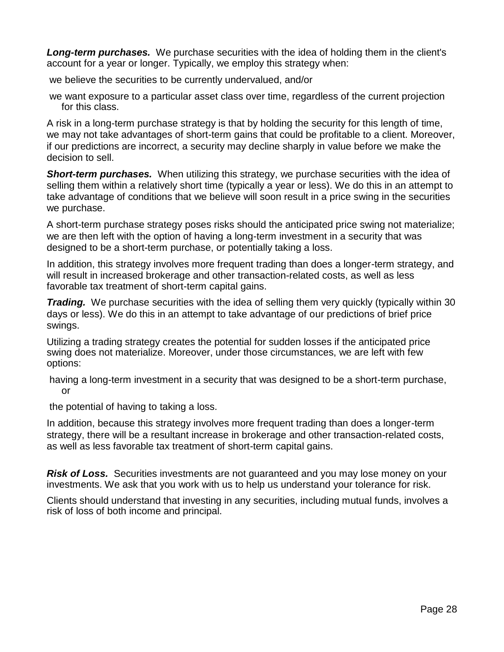**Long-term purchases.** We purchase securities with the idea of holding them in the client's account for a year or longer. Typically, we employ this strategy when:

we believe the securities to be currently undervalued, and/or

we want exposure to a particular asset class over time, regardless of the current projection for this class.

A risk in a long-term purchase strategy is that by holding the security for this length of time, we may not take advantages of short-term gains that could be profitable to a client. Moreover, if our predictions are incorrect, a security may decline sharply in value before we make the decision to sell.

**Short-term purchases.** When utilizing this strategy, we purchase securities with the idea of selling them within a relatively short time (typically a year or less). We do this in an attempt to take advantage of conditions that we believe will soon result in a price swing in the securities we purchase.

A short-term purchase strategy poses risks should the anticipated price swing not materialize; we are then left with the option of having a long-term investment in a security that was designed to be a short-term purchase, or potentially taking a loss.

In addition, this strategy involves more frequent trading than does a longer-term strategy, and will result in increased brokerage and other transaction-related costs, as well as less favorable tax treatment of short-term capital gains.

**Trading.** We purchase securities with the idea of selling them very quickly (typically within 30 days or less). We do this in an attempt to take advantage of our predictions of brief price swings.

Utilizing a trading strategy creates the potential for sudden losses if the anticipated price swing does not materialize. Moreover, under those circumstances, we are left with few options:

having a long-term investment in a security that was designed to be a short-term purchase, or

the potential of having to taking a loss.

In addition, because this strategy involves more frequent trading than does a longer-term strategy, there will be a resultant increase in brokerage and other transaction-related costs, as well as less favorable tax treatment of short-term capital gains.

*Risk of Loss.* Securities investments are not guaranteed and you may lose money on your investments. We ask that you work with us to help us understand your tolerance for risk.

Clients should understand that investing in any securities, including mutual funds, involves a risk of loss of both income and principal.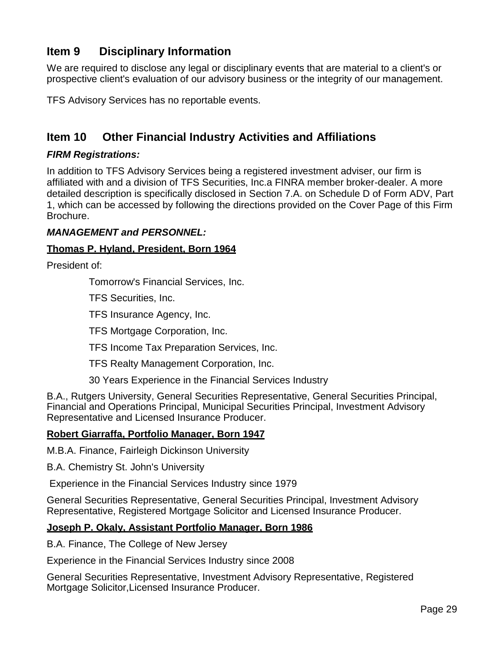# **Item 9 Disciplinary Information**

We are required to disclose any legal or disciplinary events that are material to a client's or prospective client's evaluation of our advisory business or the integrity of our management.

TFS Advisory Services has no reportable events.

# **Item 10 Other Financial Industry Activities and Affiliations**

#### *FIRM Registrations:*

In addition to TFS Advisory Services being a registered investment adviser, our firm is affiliated with and a division of TFS Securities, Inc.a FINRA member broker-dealer. A more detailed description is specifically disclosed in Section 7.A. on Schedule D of Form ADV, Part 1, which can be accessed by following the directions provided on the Cover Page of this Firm Brochure.

#### *MANAGEMENT and PERSONNEL:*

#### **Thomas P. Hyland, President, Born 1964**

President of:

Tomorrow's Financial Services, Inc.

TFS Securities, Inc.

TFS Insurance Agency, Inc.

TFS Mortgage Corporation, Inc.

TFS Income Tax Preparation Services, Inc.

TFS Realty Management Corporation, Inc.

30 Years Experience in the Financial Services Industry

B.A., Rutgers University, General Securities Representative, General Securities Principal, Financial and Operations Principal, Municipal Securities Principal, Investment Advisory Representative and Licensed Insurance Producer.

#### **Robert Giarraffa, Portfolio Manager, Born 1947**

M.B.A. Finance, Fairleigh Dickinson University

B.A. Chemistry St. John's University

Experience in the Financial Services Industry since 1979

General Securities Representative, General Securities Principal, Investment Advisory Representative, Registered Mortgage Solicitor and Licensed Insurance Producer.

#### **Joseph P. Okaly, Assistant Portfolio Manager, Born 1986**

B.A. Finance, The College of New Jersey

Experience in the Financial Services Industry since 2008

General Securities Representative, Investment Advisory Representative, Registered Mortgage Solicitor,Licensed Insurance Producer.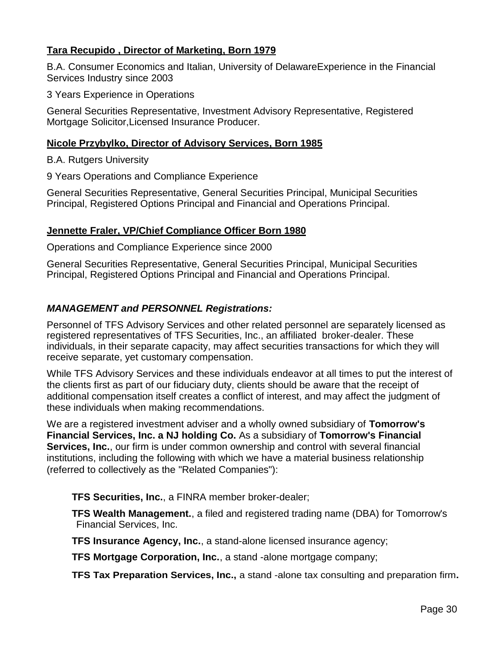#### **Tara Recupido , Director of Marketing, Born 1979**

B.A. Consumer Economics and Italian, University of DelawareExperience in the Financial Services Industry since 2003

3 Years Experience in Operations

General Securities Representative, Investment Advisory Representative, Registered Mortgage Solicitor,Licensed Insurance Producer.

#### **Nicole Przybylko, Director of Advisory Services, Born 1985**

B.A. Rutgers University

9 Years Operations and Compliance Experience

General Securities Representative, General Securities Principal, Municipal Securities Principal, Registered Options Principal and Financial and Operations Principal.

#### **Jennette Fraler, VP/Chief Compliance Officer Born 1980**

Operations and Compliance Experience since 2000

General Securities Representative, General Securities Principal, Municipal Securities Principal, Registered Options Principal and Financial and Operations Principal.

#### *MANAGEMENT and PERSONNEL Registrations:*

Personnel of TFS Advisory Services and other related personnel are separately licensed as registered representatives of TFS Securities, Inc., an affiliated broker-dealer. These individuals, in their separate capacity, may affect securities transactions for which they will receive separate, yet customary compensation.

While TFS Advisory Services and these individuals endeavor at all times to put the interest of the clients first as part of our fiduciary duty, clients should be aware that the receipt of additional compensation itself creates a conflict of interest, and may affect the judgment of these individuals when making recommendations.

We are a registered investment adviser and a wholly owned subsidiary of **Tomorrow's Financial Services, Inc. a NJ holding Co.** As a subsidiary of **Tomorrow's Financial Services, Inc.**, our firm is under common ownership and control with several financial institutions, including the following with which we have a material business relationship (referred to collectively as the "Related Companies"):

**TFS Securities, Inc.**, a FINRA member broker-dealer;

 **TFS Wealth Management.**, a filed and registered trading name (DBA) for Tomorrow's Financial Services, Inc.

**TFS Insurance Agency, Inc.**, a stand-alone licensed insurance agency;

**TFS Mortgage Corporation, Inc.**, a stand -alone mortgage company;

 **TFS Tax Preparation Services, Inc.,** a stand -alone tax consulting and preparation firm**.**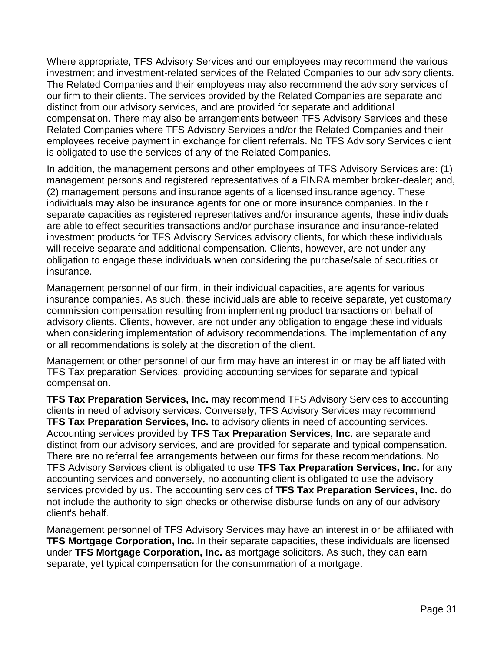Where appropriate, TFS Advisory Services and our employees may recommend the various investment and investment-related services of the Related Companies to our advisory clients. The Related Companies and their employees may also recommend the advisory services of our firm to their clients. The services provided by the Related Companies are separate and distinct from our advisory services, and are provided for separate and additional compensation. There may also be arrangements between TFS Advisory Services and these Related Companies where TFS Advisory Services and/or the Related Companies and their employees receive payment in exchange for client referrals. No TFS Advisory Services client is obligated to use the services of any of the Related Companies.

In addition, the management persons and other employees of TFS Advisory Services are: (1) management persons and registered representatives of a FINRA member broker-dealer; and, (2) management persons and insurance agents of a licensed insurance agency. These individuals may also be insurance agents for one or more insurance companies. In their separate capacities as registered representatives and/or insurance agents, these individuals are able to effect securities transactions and/or purchase insurance and insurance-related investment products for TFS Advisory Services advisory clients, for which these individuals will receive separate and additional compensation. Clients, however, are not under any obligation to engage these individuals when considering the purchase/sale of securities or insurance.

Management personnel of our firm, in their individual capacities, are agents for various insurance companies. As such, these individuals are able to receive separate, yet customary commission compensation resulting from implementing product transactions on behalf of advisory clients. Clients, however, are not under any obligation to engage these individuals when considering implementation of advisory recommendations. The implementation of any or all recommendations is solely at the discretion of the client.

Management or other personnel of our firm may have an interest in or may be affiliated with TFS Tax preparation Services, providing accounting services for separate and typical compensation.

**TFS Tax Preparation Services, Inc.** may recommend TFS Advisory Services to accounting clients in need of advisory services. Conversely, TFS Advisory Services may recommend **TFS Tax Preparation Services, Inc.** to advisory clients in need of accounting services. Accounting services provided by **TFS Tax Preparation Services, Inc.** are separate and distinct from our advisory services, and are provided for separate and typical compensation. There are no referral fee arrangements between our firms for these recommendations. No TFS Advisory Services client is obligated to use **TFS Tax Preparation Services, Inc.** for any accounting services and conversely, no accounting client is obligated to use the advisory services provided by us. The accounting services of **TFS Tax Preparation Services, Inc.** do not include the authority to sign checks or otherwise disburse funds on any of our advisory client's behalf.

Management personnel of TFS Advisory Services may have an interest in or be affiliated with **TFS Mortgage Corporation, Inc.**.In their separate capacities, these individuals are licensed under **TFS Mortgage Corporation, Inc.** as mortgage solicitors. As such, they can earn separate, yet typical compensation for the consummation of a mortgage.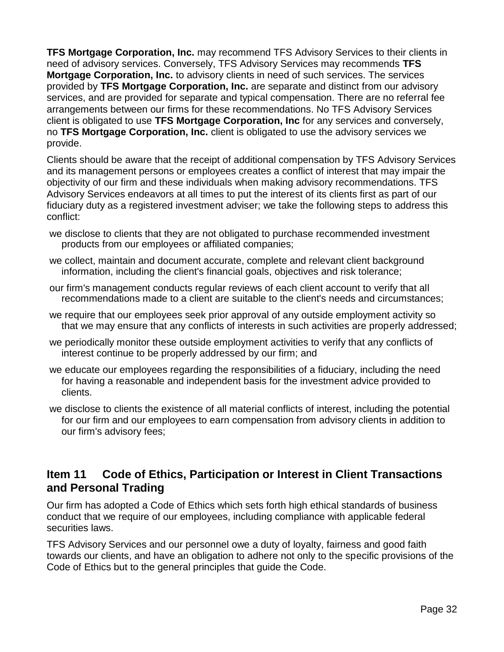**TFS Mortgage Corporation, Inc.** may recommend TFS Advisory Services to their clients in need of advisory services. Conversely, TFS Advisory Services may recommends **TFS Mortgage Corporation, Inc.** to advisory clients in need of such services. The services provided by **TFS Mortgage Corporation, Inc.** are separate and distinct from our advisory services, and are provided for separate and typical compensation. There are no referral fee arrangements between our firms for these recommendations. No TFS Advisory Services client is obligated to use **TFS Mortgage Corporation, Inc** for any services and conversely, no **TFS Mortgage Corporation, Inc.** client is obligated to use the advisory services we provide.

Clients should be aware that the receipt of additional compensation by TFS Advisory Services and its management persons or employees creates a conflict of interest that may impair the objectivity of our firm and these individuals when making advisory recommendations. TFS Advisory Services endeavors at all times to put the interest of its clients first as part of our fiduciary duty as a registered investment adviser; we take the following steps to address this conflict:

- we disclose to clients that they are not obligated to purchase recommended investment products from our employees or affiliated companies;
- we collect, maintain and document accurate, complete and relevant client background information, including the client's financial goals, objectives and risk tolerance;
- our firm's management conducts regular reviews of each client account to verify that all recommendations made to a client are suitable to the client's needs and circumstances;
- we require that our employees seek prior approval of any outside employment activity so that we may ensure that any conflicts of interests in such activities are properly addressed;
- we periodically monitor these outside employment activities to verify that any conflicts of interest continue to be properly addressed by our firm; and
- we educate our employees regarding the responsibilities of a fiduciary, including the need for having a reasonable and independent basis for the investment advice provided to clients.
- we disclose to clients the existence of all material conflicts of interest, including the potential for our firm and our employees to earn compensation from advisory clients in addition to our firm's advisory fees;

# **Item 11 Code of Ethics, Participation or Interest in Client Transactions and Personal Trading**

Our firm has adopted a Code of Ethics which sets forth high ethical standards of business conduct that we require of our employees, including compliance with applicable federal securities laws.

TFS Advisory Services and our personnel owe a duty of loyalty, fairness and good faith towards our clients, and have an obligation to adhere not only to the specific provisions of the Code of Ethics but to the general principles that guide the Code.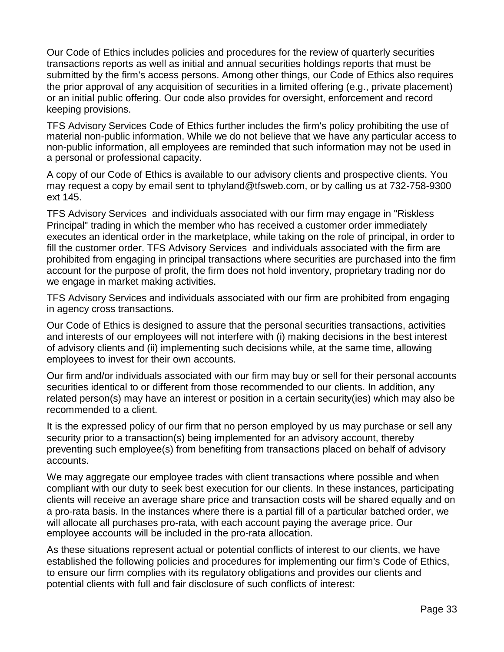Our Code of Ethics includes policies and procedures for the review of quarterly securities transactions reports as well as initial and annual securities holdings reports that must be submitted by the firm's access persons. Among other things, our Code of Ethics also requires the prior approval of any acquisition of securities in a limited offering (e.g., private placement) or an initial public offering. Our code also provides for oversight, enforcement and record keeping provisions.

TFS Advisory Services Code of Ethics further includes the firm's policy prohibiting the use of material non-public information. While we do not believe that we have any particular access to non-public information, all employees are reminded that such information may not be used in a personal or professional capacity.

A copy of our Code of Ethics is available to our advisory clients and prospective clients. You may request a copy by email sent to tphyland@tfsweb.com, or by calling us at 732-758-9300 ext 145.

TFS Advisory Services and individuals associated with our firm may engage in "Riskless Principal" trading in which the member who has received a customer order immediately executes an identical order in the marketplace, while taking on the role of principal, in order to fill the customer order. TFS Advisory Services and individuals associated with the firm are prohibited from engaging in principal transactions where securities are purchased into the firm account for the purpose of profit, the firm does not hold inventory, proprietary trading nor do we engage in market making activities.

TFS Advisory Services and individuals associated with our firm are prohibited from engaging in agency cross transactions.

Our Code of Ethics is designed to assure that the personal securities transactions, activities and interests of our employees will not interfere with (i) making decisions in the best interest of advisory clients and (ii) implementing such decisions while, at the same time, allowing employees to invest for their own accounts.

Our firm and/or individuals associated with our firm may buy or sell for their personal accounts securities identical to or different from those recommended to our clients. In addition, any related person(s) may have an interest or position in a certain security(ies) which may also be recommended to a client.

It is the expressed policy of our firm that no person employed by us may purchase or sell any security prior to a transaction(s) being implemented for an advisory account, thereby preventing such employee(s) from benefiting from transactions placed on behalf of advisory accounts.

We may aggregate our employee trades with client transactions where possible and when compliant with our duty to seek best execution for our clients. In these instances, participating clients will receive an average share price and transaction costs will be shared equally and on a pro-rata basis. In the instances where there is a partial fill of a particular batched order, we will allocate all purchases pro-rata, with each account paying the average price. Our employee accounts will be included in the pro-rata allocation.

As these situations represent actual or potential conflicts of interest to our clients, we have established the following policies and procedures for implementing our firm's Code of Ethics, to ensure our firm complies with its regulatory obligations and provides our clients and potential clients with full and fair disclosure of such conflicts of interest: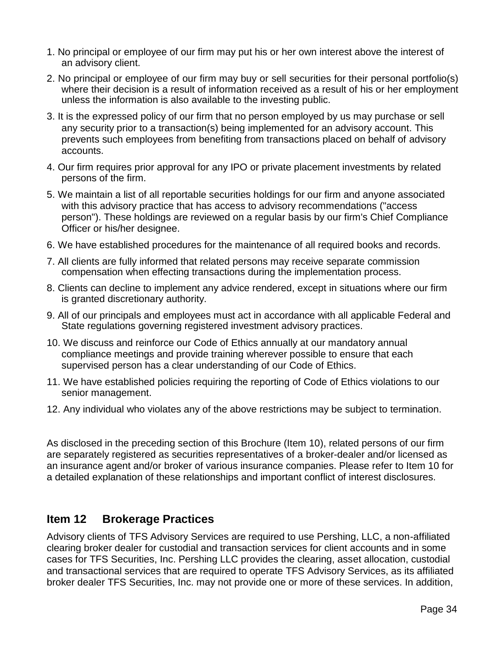- 1. No principal or employee of our firm may put his or her own interest above the interest of an advisory client.
- 2. No principal or employee of our firm may buy or sell securities for their personal portfolio(s) where their decision is a result of information received as a result of his or her employment unless the information is also available to the investing public.
- 3. It is the expressed policy of our firm that no person employed by us may purchase or sell any security prior to a transaction(s) being implemented for an advisory account. This prevents such employees from benefiting from transactions placed on behalf of advisory accounts.
- 4. Our firm requires prior approval for any IPO or private placement investments by related persons of the firm.
- 5. We maintain a list of all reportable securities holdings for our firm and anyone associated with this advisory practice that has access to advisory recommendations ("access person"). These holdings are reviewed on a regular basis by our firm's Chief Compliance Officer or his/her designee.
- 6. We have established procedures for the maintenance of all required books and records.
- 7. All clients are fully informed that related persons may receive separate commission compensation when effecting transactions during the implementation process.
- 8. Clients can decline to implement any advice rendered, except in situations where our firm is granted discretionary authority.
- 9. All of our principals and employees must act in accordance with all applicable Federal and State regulations governing registered investment advisory practices.
- 10. We discuss and reinforce our Code of Ethics annually at our mandatory annual compliance meetings and provide training wherever possible to ensure that each supervised person has a clear understanding of our Code of Ethics.
- 11. We have established policies requiring the reporting of Code of Ethics violations to our senior management.
- 12. Any individual who violates any of the above restrictions may be subject to termination.

As disclosed in the preceding section of this Brochure (Item 10), related persons of our firm are separately registered as securities representatives of a broker-dealer and/or licensed as an insurance agent and/or broker of various insurance companies. Please refer to Item 10 for a detailed explanation of these relationships and important conflict of interest disclosures.

# **Item 12 Brokerage Practices**

Advisory clients of TFS Advisory Services are required to use Pershing, LLC, a non-affiliated clearing broker dealer for custodial and transaction services for client accounts and in some cases for TFS Securities, Inc. Pershing LLC provides the clearing, asset allocation, custodial and transactional services that are required to operate TFS Advisory Services, as its affiliated broker dealer TFS Securities, Inc. may not provide one or more of these services. In addition,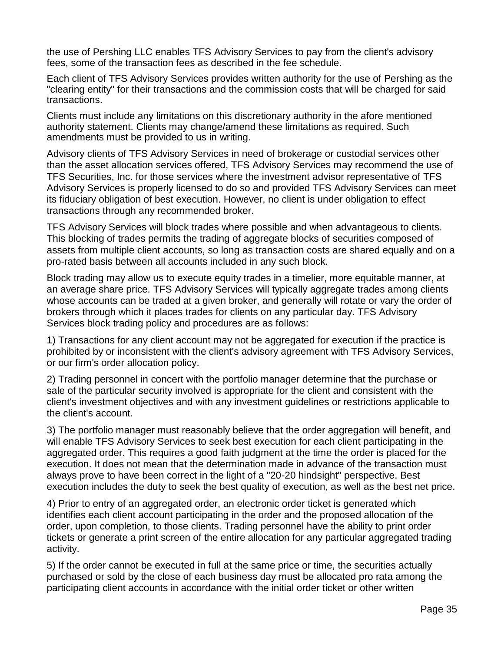the use of Pershing LLC enables TFS Advisory Services to pay from the client's advisory fees, some of the transaction fees as described in the fee schedule.

Each client of TFS Advisory Services provides written authority for the use of Pershing as the "clearing entity" for their transactions and the commission costs that will be charged for said transactions.

Clients must include any limitations on this discretionary authority in the afore mentioned authority statement. Clients may change/amend these limitations as required. Such amendments must be provided to us in writing.

Advisory clients of TFS Advisory Services in need of brokerage or custodial services other than the asset allocation services offered, TFS Advisory Services may recommend the use of TFS Securities, Inc. for those services where the investment advisor representative of TFS Advisory Services is properly licensed to do so and provided TFS Advisory Services can meet its fiduciary obligation of best execution. However, no client is under obligation to effect transactions through any recommended broker.

TFS Advisory Services will block trades where possible and when advantageous to clients. This blocking of trades permits the trading of aggregate blocks of securities composed of assets from multiple client accounts, so long as transaction costs are shared equally and on a pro-rated basis between all accounts included in any such block.

Block trading may allow us to execute equity trades in a timelier, more equitable manner, at an average share price. TFS Advisory Services will typically aggregate trades among clients whose accounts can be traded at a given broker, and generally will rotate or vary the order of brokers through which it places trades for clients on any particular day. TFS Advisory Services block trading policy and procedures are as follows:

1) Transactions for any client account may not be aggregated for execution if the practice is prohibited by or inconsistent with the client's advisory agreement with TFS Advisory Services, or our firm's order allocation policy.

2) Trading personnel in concert with the portfolio manager determine that the purchase or sale of the particular security involved is appropriate for the client and consistent with the client's investment objectives and with any investment guidelines or restrictions applicable to the client's account.

3) The portfolio manager must reasonably believe that the order aggregation will benefit, and will enable TFS Advisory Services to seek best execution for each client participating in the aggregated order. This requires a good faith judgment at the time the order is placed for the execution. It does not mean that the determination made in advance of the transaction must always prove to have been correct in the light of a "20-20 hindsight" perspective. Best execution includes the duty to seek the best quality of execution, as well as the best net price.

4) Prior to entry of an aggregated order, an electronic order ticket is generated which identifies each client account participating in the order and the proposed allocation of the order, upon completion, to those clients. Trading personnel have the ability to print order tickets or generate a print screen of the entire allocation for any particular aggregated trading activity.

5) If the order cannot be executed in full at the same price or time, the securities actually purchased or sold by the close of each business day must be allocated pro rata among the participating client accounts in accordance with the initial order ticket or other written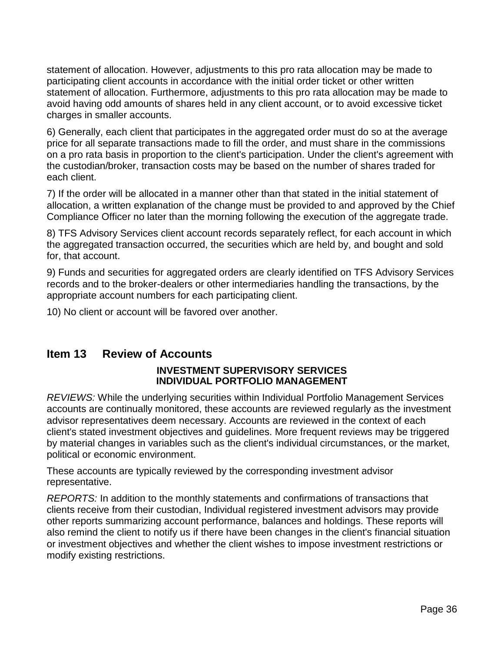statement of allocation. However, adjustments to this pro rata allocation may be made to participating client accounts in accordance with the initial order ticket or other written statement of allocation. Furthermore, adjustments to this pro rata allocation may be made to avoid having odd amounts of shares held in any client account, or to avoid excessive ticket charges in smaller accounts.

6) Generally, each client that participates in the aggregated order must do so at the average price for all separate transactions made to fill the order, and must share in the commissions on a pro rata basis in proportion to the client's participation. Under the client's agreement with the custodian/broker, transaction costs may be based on the number of shares traded for each client.

7) If the order will be allocated in a manner other than that stated in the initial statement of allocation, a written explanation of the change must be provided to and approved by the Chief Compliance Officer no later than the morning following the execution of the aggregate trade.

8) TFS Advisory Services client account records separately reflect, for each account in which the aggregated transaction occurred, the securities which are held by, and bought and sold for, that account.

9) Funds and securities for aggregated orders are clearly identified on TFS Advisory Services records and to the broker-dealers or other intermediaries handling the transactions, by the appropriate account numbers for each participating client.

10) No client or account will be favored over another.

#### **Item 13 Review of Accounts**

#### **INVESTMENT SUPERVISORY SERVICES INDIVIDUAL PORTFOLIO MANAGEMENT**

*REVIEWS:* While the underlying securities within Individual Portfolio Management Services accounts are continually monitored, these accounts are reviewed regularly as the investment advisor representatives deem necessary. Accounts are reviewed in the context of each client's stated investment objectives and guidelines. More frequent reviews may be triggered by material changes in variables such as the client's individual circumstances, or the market, political or economic environment.

These accounts are typically reviewed by the corresponding investment advisor representative.

*REPORTS:* In addition to the monthly statements and confirmations of transactions that clients receive from their custodian, Individual registered investment advisors may provide other reports summarizing account performance, balances and holdings. These reports will also remind the client to notify us if there have been changes in the client's financial situation or investment objectives and whether the client wishes to impose investment restrictions or modify existing restrictions.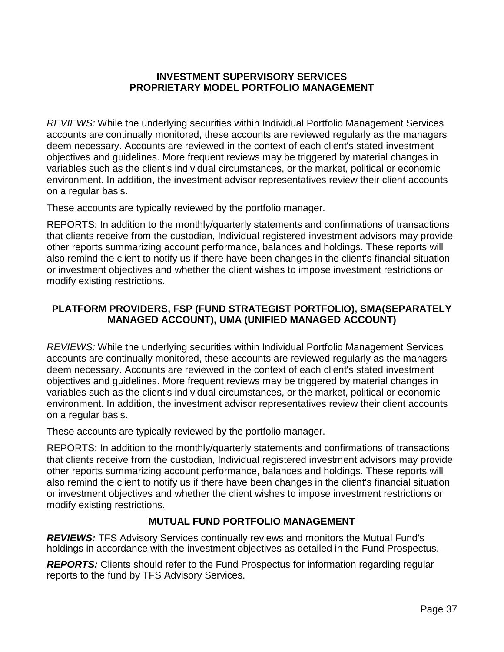#### **INVESTMENT SUPERVISORY SERVICES PROPRIETARY MODEL PORTFOLIO MANAGEMENT**

*REVIEWS:* While the underlying securities within Individual Portfolio Management Services accounts are continually monitored, these accounts are reviewed regularly as the managers deem necessary. Accounts are reviewed in the context of each client's stated investment objectives and guidelines. More frequent reviews may be triggered by material changes in variables such as the client's individual circumstances, or the market, political or economic environment. In addition, the investment advisor representatives review their client accounts on a regular basis.

These accounts are typically reviewed by the portfolio manager.

REPORTS: In addition to the monthly/quarterly statements and confirmations of transactions that clients receive from the custodian, Individual registered investment advisors may provide other reports summarizing account performance, balances and holdings. These reports will also remind the client to notify us if there have been changes in the client's financial situation or investment objectives and whether the client wishes to impose investment restrictions or modify existing restrictions.

#### **PLATFORM PROVIDERS, FSP (FUND STRATEGIST PORTFOLIO), SMA(SEPARATELY MANAGED ACCOUNT), UMA (UNIFIED MANAGED ACCOUNT)**

*REVIEWS:* While the underlying securities within Individual Portfolio Management Services accounts are continually monitored, these accounts are reviewed regularly as the managers deem necessary. Accounts are reviewed in the context of each client's stated investment objectives and guidelines. More frequent reviews may be triggered by material changes in variables such as the client's individual circumstances, or the market, political or economic environment. In addition, the investment advisor representatives review their client accounts on a regular basis.

These accounts are typically reviewed by the portfolio manager.

REPORTS: In addition to the monthly/quarterly statements and confirmations of transactions that clients receive from the custodian, Individual registered investment advisors may provide other reports summarizing account performance, balances and holdings. These reports will also remind the client to notify us if there have been changes in the client's financial situation or investment objectives and whether the client wishes to impose investment restrictions or modify existing restrictions.

# **MUTUAL FUND PORTFOLIO MANAGEMENT**

*REVIEWS:* TFS Advisory Services continually reviews and monitors the Mutual Fund's holdings in accordance with the investment objectives as detailed in the Fund Prospectus.

**REPORTS:** Clients should refer to the Fund Prospectus for information regarding regular reports to the fund by TFS Advisory Services.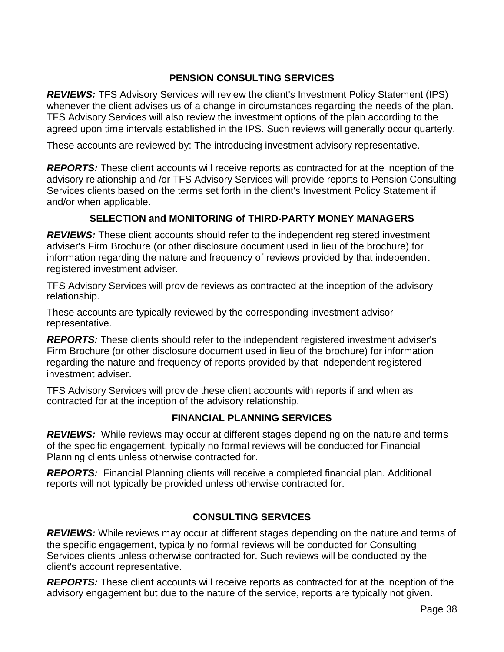#### **PENSION CONSULTING SERVICES**

**REVIEWS:** TFS Advisory Services will review the client's Investment Policy Statement (IPS) whenever the client advises us of a change in circumstances regarding the needs of the plan. TFS Advisory Services will also review the investment options of the plan according to the agreed upon time intervals established in the IPS. Such reviews will generally occur quarterly.

These accounts are reviewed by: The introducing investment advisory representative.

**REPORTS:** These client accounts will receive reports as contracted for at the inception of the advisory relationship and /or TFS Advisory Services will provide reports to Pension Consulting Services clients based on the terms set forth in the client's Investment Policy Statement if and/or when applicable.

#### **SELECTION and MONITORING of THIRD-PARTY MONEY MANAGERS**

**REVIEWS:** These client accounts should refer to the independent registered investment adviser's Firm Brochure (or other disclosure document used in lieu of the brochure) for information regarding the nature and frequency of reviews provided by that independent registered investment adviser.

TFS Advisory Services will provide reviews as contracted at the inception of the advisory relationship.

These accounts are typically reviewed by the corresponding investment advisor representative.

*REPORTS:* These clients should refer to the independent registered investment adviser's Firm Brochure (or other disclosure document used in lieu of the brochure) for information regarding the nature and frequency of reports provided by that independent registered investment adviser.

TFS Advisory Services will provide these client accounts with reports if and when as contracted for at the inception of the advisory relationship.

#### **FINANCIAL PLANNING SERVICES**

**REVIEWS:** While reviews may occur at different stages depending on the nature and terms of the specific engagement, typically no formal reviews will be conducted for Financial Planning clients unless otherwise contracted for.

*REPORTS:* Financial Planning clients will receive a completed financial plan. Additional reports will not typically be provided unless otherwise contracted for.

#### **CONSULTING SERVICES**

**REVIEWS:** While reviews may occur at different stages depending on the nature and terms of the specific engagement, typically no formal reviews will be conducted for Consulting Services clients unless otherwise contracted for. Such reviews will be conducted by the client's account representative.

*REPORTS:* These client accounts will receive reports as contracted for at the inception of the advisory engagement but due to the nature of the service, reports are typically not given.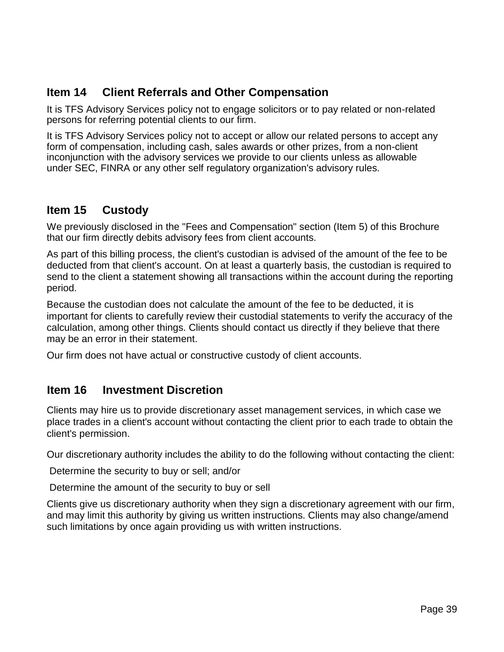# **Item 14 Client Referrals and Other Compensation**

It is TFS Advisory Services policy not to engage solicitors or to pay related or non-related persons for referring potential clients to our firm.

It is TFS Advisory Services policy not to accept or allow our related persons to accept any form of compensation, including cash, sales awards or other prizes, from a non-client inconjunction with the advisory services we provide to our clients unless as allowable under SEC, FINRA or any other self regulatory organization's advisory rules.

# **Item 15 Custody**

We previously disclosed in the "Fees and Compensation" section (Item 5) of this Brochure that our firm directly debits advisory fees from client accounts.

As part of this billing process, the client's custodian is advised of the amount of the fee to be deducted from that client's account. On at least a quarterly basis, the custodian is required to send to the client a statement showing all transactions within the account during the reporting period.

Because the custodian does not calculate the amount of the fee to be deducted, it is important for clients to carefully review their custodial statements to verify the accuracy of the calculation, among other things. Clients should contact us directly if they believe that there may be an error in their statement.

Our firm does not have actual or constructive custody of client accounts.

# **Item 16 Investment Discretion**

Clients may hire us to provide discretionary asset management services, in which case we place trades in a client's account without contacting the client prior to each trade to obtain the client's permission.

Our discretionary authority includes the ability to do the following without contacting the client:

Determine the security to buy or sell; and/or

Determine the amount of the security to buy or sell

Clients give us discretionary authority when they sign a discretionary agreement with our firm, and may limit this authority by giving us written instructions. Clients may also change/amend such limitations by once again providing us with written instructions.